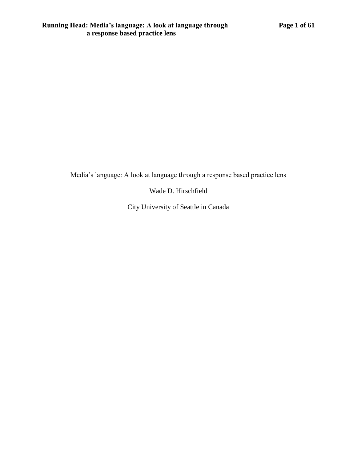Media's language: A look at language through a response based practice lens

Wade D. Hirschfield

City University of Seattle in Canada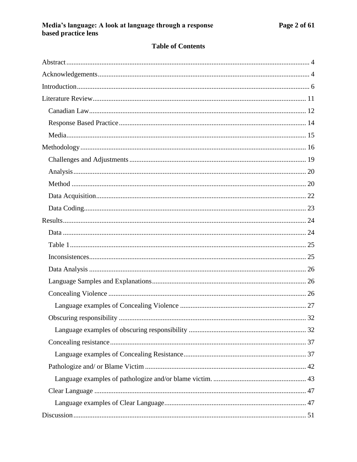# **Table of Contents**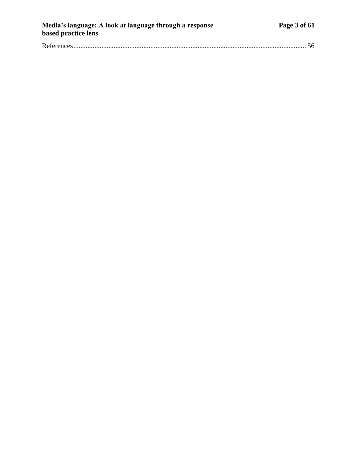| Media's language: A look at language through a response<br>based practice lens | Page 3 of 61 |
|--------------------------------------------------------------------------------|--------------|
|                                                                                |              |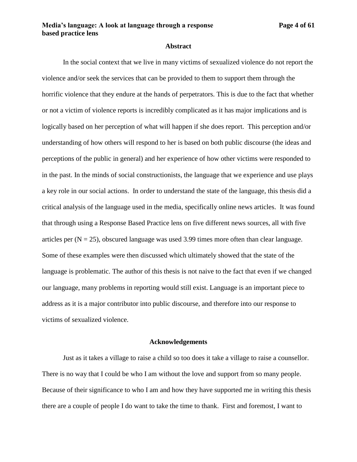#### **Abstract**

<span id="page-3-0"></span>In the social context that we live in many victims of sexualized violence do not report the violence and/or seek the services that can be provided to them to support them through the horrific violence that they endure at the hands of perpetrators. This is due to the fact that whether or not a victim of violence reports is incredibly complicated as it has major implications and is logically based on her perception of what will happen if she does report. This perception and/or understanding of how others will respond to her is based on both public discourse (the ideas and perceptions of the public in general) and her experience of how other victims were responded to in the past. In the minds of social constructionists, the language that we experience and use plays a key role in our social actions. In order to understand the state of the language, this thesis did a critical analysis of the language used in the media, specifically online news articles. It was found that through using a Response Based Practice lens on five different news sources, all with five articles per  $(N = 25)$ , obscured language was used 3.99 times more often than clear language. Some of these examples were then discussed which ultimately showed that the state of the language is problematic. The author of this thesis is not naive to the fact that even if we changed our language, many problems in reporting would still exist. Language is an important piece to address as it is a major contributor into public discourse, and therefore into our response to victims of sexualized violence.

#### **Acknowledgements**

<span id="page-3-1"></span>Just as it takes a village to raise a child so too does it take a village to raise a counsellor. There is no way that I could be who I am without the love and support from so many people. Because of their significance to who I am and how they have supported me in writing this thesis there are a couple of people I do want to take the time to thank. First and foremost, I want to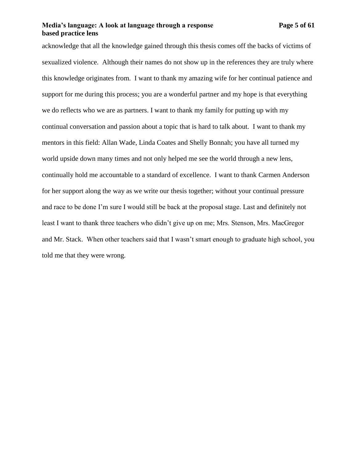## **Media's language:** A look at language through a response Page 5 of 61 **based practice lens**

acknowledge that all the knowledge gained through this thesis comes off the backs of victims of sexualized violence. Although their names do not show up in the references they are truly where this knowledge originates from. I want to thank my amazing wife for her continual patience and support for me during this process; you are a wonderful partner and my hope is that everything we do reflects who we are as partners. I want to thank my family for putting up with my continual conversation and passion about a topic that is hard to talk about. I want to thank my mentors in this field: Allan Wade, Linda Coates and Shelly Bonnah; you have all turned my world upside down many times and not only helped me see the world through a new lens, continually hold me accountable to a standard of excellence. I want to thank Carmen Anderson for her support along the way as we write our thesis together; without your continual pressure and race to be done I'm sure I would still be back at the proposal stage. Last and definitely not least I want to thank three teachers who didn't give up on me; Mrs. Stenson, Mrs. MacGregor and Mr. Stack. When other teachers said that I wasn't smart enough to graduate high school, you told me that they were wrong.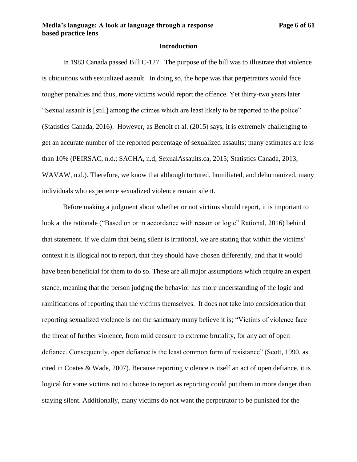#### **Introduction**

<span id="page-5-0"></span>In 1983 Canada passed Bill C-127. The purpose of the bill was to illustrate that violence is ubiquitous with sexualized assault. In doing so, the hope was that perpetrators would face tougher penalties and thus, more victims would report the offence. Yet thirty-two years later "Sexual assault is [still] among the crimes which are least likely to be reported to the police" (Statistics Canada, 2016). However, as Benoit et al. (2015) says, it is extremely challenging to get an accurate number of the reported percentage of sexualized assaults; many estimates are less than 10% (PEIRSAC, n.d.; SACHA, n.d; SexualAssaults.ca, 2015; Statistics Canada, 2013; WAVAW, n.d.). Therefore, we know that although tortured, humiliated, and dehumanized, many individuals who experience sexualized violence remain silent.

Before making a judgment about whether or not victims should report, it is important to look at the rationale ("Based on or in accordance with reason or logic" Rational, 2016) behind that statement. If we claim that being silent is irrational, we are stating that within the victims' context it is illogical not to report, that they should have chosen differently, and that it would have been beneficial for them to do so. These are all major assumptions which require an expert stance, meaning that the person judging the behavior has more understanding of the logic and ramifications of reporting than the victims themselves. It does not take into consideration that reporting sexualized violence is not the sanctuary many believe it is; "Victims of violence face the threat of further violence, from mild censure to extreme brutality, for any act of open defiance. Consequently, open defiance is the least common form of resistance" (Scott, 1990, as cited in Coates & Wade, 2007). Because reporting violence is itself an act of open defiance, it is logical for some victims not to choose to report as reporting could put them in more danger than staying silent. Additionally, many victims do not want the perpetrator to be punished for the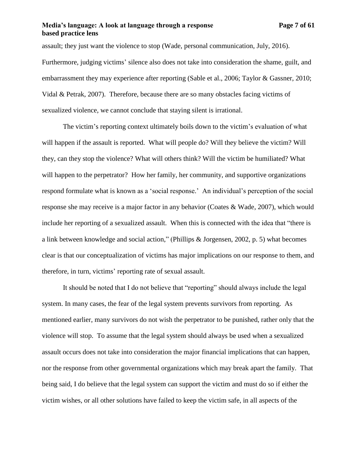assault; they just want the violence to stop (Wade, personal communication, July, 2016). Furthermore, judging victims' silence also does not take into consideration the shame, guilt, and embarrassment they may experience after reporting (Sable et al., 2006; Taylor & Gassner, 2010; Vidal & Petrak, 2007). Therefore, because there are so many obstacles facing victims of sexualized violence, we cannot conclude that staying silent is irrational.

The victim's reporting context ultimately boils down to the victim's evaluation of what will happen if the assault is reported. What will people do? Will they believe the victim? Will they, can they stop the violence? What will others think? Will the victim be humiliated? What will happen to the perpetrator? How her family, her community, and supportive organizations respond formulate what is known as a 'social response.' An individual's perception of the social response she may receive is a major factor in any behavior (Coates & Wade, 2007), which would include her reporting of a sexualized assault. When this is connected with the idea that "there is a link between knowledge and social action," (Phillips & Jorgensen, 2002, p. 5) what becomes clear is that our conceptualization of victims has major implications on our response to them, and therefore, in turn, victims' reporting rate of sexual assault.

It should be noted that I do not believe that "reporting" should always include the legal system. In many cases, the fear of the legal system prevents survivors from reporting. As mentioned earlier, many survivors do not wish the perpetrator to be punished, rather only that the violence will stop. To assume that the legal system should always be used when a sexualized assault occurs does not take into consideration the major financial implications that can happen, nor the response from other governmental organizations which may break apart the family. That being said, I do believe that the legal system can support the victim and must do so if either the victim wishes, or all other solutions have failed to keep the victim safe, in all aspects of the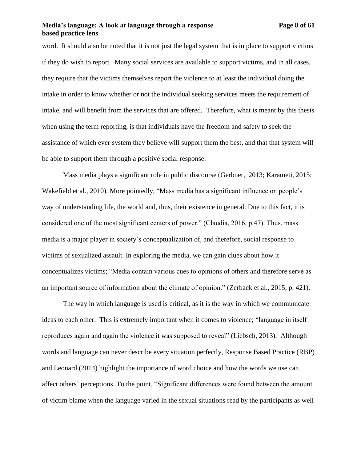## **Media's language: A look at language through a response Page 8 of 61 based practice lens**

word. It should also be noted that it is not just the legal system that is in place to support victims if they do wish to report. Many social services are available to support victims, and in all cases, they require that the victims themselves report the violence to at least the individual doing the intake in order to know whether or not the individual seeking services meets the requirement of intake, and will benefit from the services that are offered. Therefore, what is meant by this thesis when using the term reporting, is that individuals have the freedom and safety to seek the assistance of which ever system they believe will support them the best, and that that system will be able to support them through a positive social response.

Mass media plays a significant role in public discourse (Gerbner, 2013; Karameti, 2015; Wakefield et al., 2010). More pointedly, "Mass media has a significant influence on people's way of understanding life, the world and, thus, their existence in general. Due to this fact, it is considered one of the most significant centers of power." (Claudia, 2016, p.47). Thus, mass media is a major player in society's conceptualization of, and therefore, social response to victims of sexualized assault. In exploring the media, we can gain clues about how it conceptualizes victims; "Media contain various cues to opinions of others and therefore serve as an important source of information about the climate of opinion." (Zerback et al., 2015, p. 421).

The way in which language is used is critical, as it is the way in which we communicate ideas to each other. This is extremely important when it comes to violence; "language in itself reproduces again and again the violence it was supposed to reveal" (Liebsch, 2013). Although words and language can never describe every situation perfectly, Response Based Practice (RBP) and Leonard (2014) highlight the importance of word choice and how the words we use can affect others' perceptions. To the point, "Significant differences were found between the amount of victim blame when the language varied in the sexual situations read by the participants as well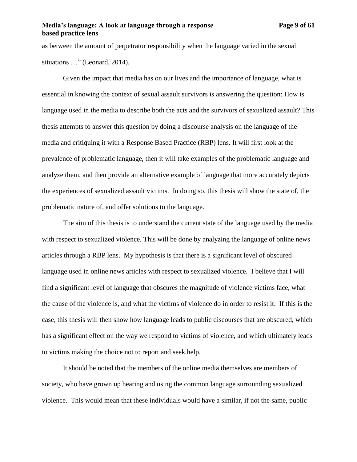## **Media's language: A look at language through a response Page 9 of 61 based practice lens**

as between the amount of perpetrator responsibility when the language varied in the sexual situations …" (Leonard, 2014).

Given the impact that media has on our lives and the importance of language, what is essential in knowing the context of sexual assault survivors is answering the question: How is language used in the media to describe both the acts and the survivors of sexualized assault? This thesis attempts to answer this question by doing a discourse analysis on the language of the media and critiquing it with a Response Based Practice (RBP) lens. It will first look at the prevalence of problematic language, then it will take examples of the problematic language and analyze them, and then provide an alternative example of language that more accurately depicts the experiences of sexualized assault victims. In doing so, this thesis will show the state of, the problematic nature of, and offer solutions to the language.

The aim of this thesis is to understand the current state of the language used by the media with respect to sexualized violence. This will be done by analyzing the language of online news articles through a RBP lens. My hypothesis is that there is a significant level of obscured language used in online news articles with respect to sexualized violence. I believe that I will find a significant level of language that obscures the magnitude of violence victims face, what the cause of the violence is, and what the victims of violence do in order to resist it. If this is the case, this thesis will then show how language leads to public discourses that are obscured, which has a significant effect on the way we respond to victims of violence, and which ultimately leads to victims making the choice not to report and seek help.

It should be noted that the members of the online media themselves are members of society, who have grown up hearing and using the common language surrounding sexualized violence. This would mean that these individuals would have a similar, if not the same, public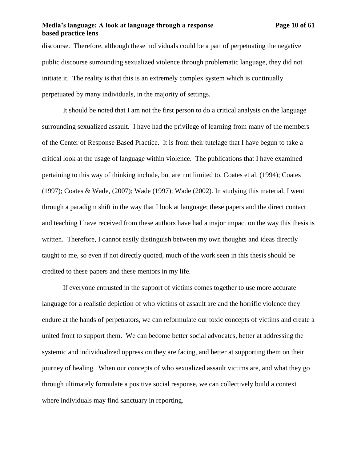## **Media's language: A look at language through a response Page 10 of 61 based practice lens**

discourse. Therefore, although these individuals could be a part of perpetuating the negative public discourse surrounding sexualized violence through problematic language, they did not initiate it. The reality is that this is an extremely complex system which is continually perpetuated by many individuals, in the majority of settings.

It should be noted that I am not the first person to do a critical analysis on the language surrounding sexualized assault. I have had the privilege of learning from many of the members of the Center of Response Based Practice. It is from their tutelage that I have begun to take a critical look at the usage of language within violence. The publications that I have examined pertaining to this way of thinking include, but are not limited to, Coates et al. (1994); Coates (1997); Coates & Wade, (2007); Wade (1997); Wade (2002). In studying this material, I went through a paradigm shift in the way that I look at language; these papers and the direct contact and teaching I have received from these authors have had a major impact on the way this thesis is written. Therefore, I cannot easily distinguish between my own thoughts and ideas directly taught to me, so even if not directly quoted, much of the work seen in this thesis should be credited to these papers and these mentors in my life.

If everyone entrusted in the support of victims comes together to use more accurate language for a realistic depiction of who victims of assault are and the horrific violence they endure at the hands of perpetrators, we can reformulate our toxic concepts of victims and create a united front to support them. We can become better social advocates, better at addressing the systemic and individualized oppression they are facing, and better at supporting them on their journey of healing. When our concepts of who sexualized assault victims are, and what they go through ultimately formulate a positive social response, we can collectively build a context where individuals may find sanctuary in reporting.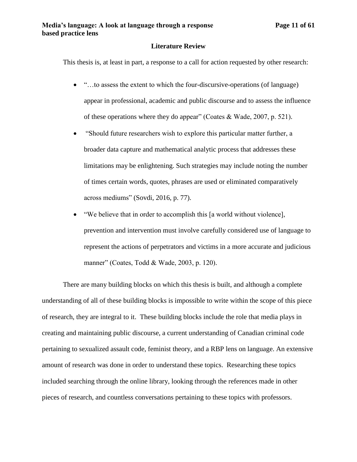#### **Literature Review**

<span id="page-10-0"></span>This thesis is, at least in part, a response to a call for action requested by other research:

- "…to assess the extent to which the four-discursive-operations (of language) appear in professional, academic and public discourse and to assess the influence of these operations where they do appear" (Coates & Wade, 2007, p. 521).
- "Should future researchers wish to explore this particular matter further, a broader data capture and mathematical analytic process that addresses these limitations may be enlightening. Such strategies may include noting the number of times certain words, quotes, phrases are used or eliminated comparatively across mediums" (Sovdi, 2016, p. 77).
- "We believe that in order to accomplish this [a world without violence], prevention and intervention must involve carefully considered use of language to represent the actions of perpetrators and victims in a more accurate and judicious manner" (Coates, Todd & Wade, 2003, p. 120).

There are many building blocks on which this thesis is built, and although a complete understanding of all of these building blocks is impossible to write within the scope of this piece of research, they are integral to it. These building blocks include the role that media plays in creating and maintaining public discourse, a current understanding of Canadian criminal code pertaining to sexualized assault code, feminist theory, and a RBP lens on language. An extensive amount of research was done in order to understand these topics. Researching these topics included searching through the online library, looking through the references made in other pieces of research, and countless conversations pertaining to these topics with professors.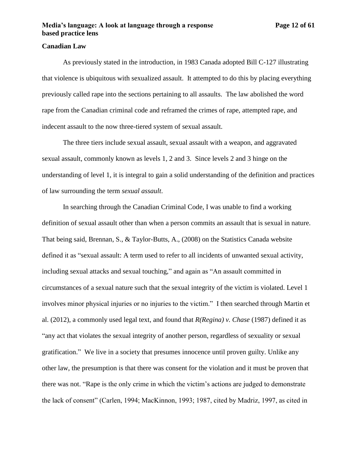# <span id="page-11-0"></span>**Canadian Law**

As previously stated in the introduction, in 1983 Canada adopted Bill C-127 illustrating that violence is ubiquitous with sexualized assault. It attempted to do this by placing everything previously called rape into the sections pertaining to all assaults. The law abolished the word rape from the Canadian criminal code and reframed the crimes of rape, attempted rape, and indecent assault to the now three-tiered system of sexual assault.

The three tiers include sexual assault, sexual assault with a weapon, and aggravated sexual assault, commonly known as levels 1, 2 and 3. Since levels 2 and 3 hinge on the understanding of level 1, it is integral to gain a solid understanding of the definition and practices of law surrounding the term *sexual assault*.

In searching through the Canadian Criminal Code, I was unable to find a working definition of sexual assault other than when a person commits an assault that is sexual in nature. That being said, Brennan, S., & Taylor-Butts, A., (2008) on the Statistics Canada website defined it as "sexual assault: A term used to refer to all incidents of unwanted sexual activity, including sexual attacks and sexual touching," and again as "An assault committed in circumstances of a sexual nature such that the sexual integrity of the victim is violated. Level 1 involves minor physical injuries or no injuries to the victim." I then searched through Martin et al. (2012), a commonly used legal text, and found that *R(Regina) v. Chase* (1987) defined it as "any act that violates the sexual integrity of another person, regardless of sexuality or sexual gratification." We live in a society that presumes innocence until proven guilty. Unlike any other law, the presumption is that there was consent for the violation and it must be proven that there was not. "Rape is the only crime in which the victim's actions are judged to demonstrate the lack of consent" (Carlen, 1994; MacKinnon, 1993; 1987, cited by Madriz, 1997, as cited in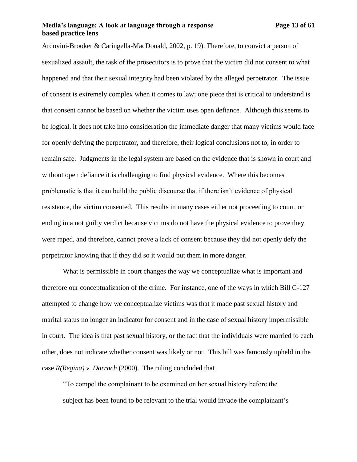## **Media's language: A look at language through a response Page 13 of 61 based practice lens**

Ardovini-Brooker & Caringella-MacDonald, 2002, p. 19). Therefore, to convict a person of sexualized assault, the task of the prosecutors is to prove that the victim did not consent to what happened and that their sexual integrity had been violated by the alleged perpetrator. The issue of consent is extremely complex when it comes to law; one piece that is critical to understand is that consent cannot be based on whether the victim uses open defiance. Although this seems to be logical, it does not take into consideration the immediate danger that many victims would face for openly defying the perpetrator, and therefore, their logical conclusions not to, in order to remain safe. Judgments in the legal system are based on the evidence that is shown in court and without open defiance it is challenging to find physical evidence. Where this becomes problematic is that it can build the public discourse that if there isn't evidence of physical resistance, the victim consented. This results in many cases either not proceeding to court, or ending in a not guilty verdict because victims do not have the physical evidence to prove they were raped, and therefore, cannot prove a lack of consent because they did not openly defy the perpetrator knowing that if they did so it would put them in more danger.

What is permissible in court changes the way we conceptualize what is important and therefore our conceptualization of the crime. For instance, one of the ways in which Bill C-127 attempted to change how we conceptualize victims was that it made past sexual history and marital status no longer an indicator for consent and in the case of sexual history impermissible in court. The idea is that past sexual history, or the fact that the individuals were married to each other, does not indicate whether consent was likely or not. This bill was famously upheld in the case *R(Regina) v. Darrach* (2000). The ruling concluded that

"To compel the complainant to be examined on her sexual history before the subject has been found to be relevant to the trial would invade the complainant's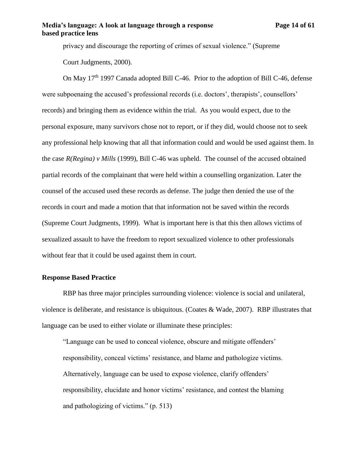privacy and discourage the reporting of crimes of sexual violence." (Supreme Court Judgments, 2000).

On May 17<sup>th</sup> 1997 Canada adopted Bill C-46. Prior to the adoption of Bill C-46, defense were subpoenaing the accused's professional records (i.e. doctors', therapists', counsellors' records) and bringing them as evidence within the trial. As you would expect, due to the personal exposure, many survivors chose not to report, or if they did, would choose not to seek any professional help knowing that all that information could and would be used against them. In the case *R(Regina) v Mills* (1999), Bill C-46 was upheld. The counsel of the accused obtained partial records of the complainant that were held within a counselling organization. Later the counsel of the accused used these records as defense. The judge then denied the use of the records in court and made a motion that that information not be saved within the records (Supreme Court Judgments, 1999). What is important here is that this then allows victims of sexualized assault to have the freedom to report sexualized violence to other professionals without fear that it could be used against them in court.

#### <span id="page-13-0"></span>**Response Based Practice**

RBP has three major principles surrounding violence: violence is social and unilateral, violence is deliberate, and resistance is ubiquitous. (Coates & Wade, 2007). RBP illustrates that language can be used to either violate or illuminate these principles:

"Language can be used to conceal violence, obscure and mitigate offenders' responsibility, conceal victims' resistance, and blame and pathologize victims. Alternatively, language can be used to expose violence, clarify offenders' responsibility, elucidate and honor victims' resistance, and contest the blaming and pathologizing of victims." (p. 513)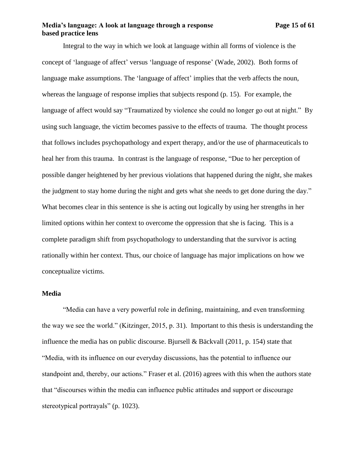## **Media's language: A look at language through a response Page 15 of 61 based practice lens**

Integral to the way in which we look at language within all forms of violence is the concept of 'language of affect' versus 'language of response' (Wade, 2002). Both forms of language make assumptions. The 'language of affect' implies that the verb affects the noun, whereas the language of response implies that subjects respond (p. 15). For example, the language of affect would say "Traumatized by violence she could no longer go out at night." By using such language, the victim becomes passive to the effects of trauma. The thought process that follows includes psychopathology and expert therapy, and/or the use of pharmaceuticals to heal her from this trauma. In contrast is the language of response, "Due to her perception of possible danger heightened by her previous violations that happened during the night, she makes the judgment to stay home during the night and gets what she needs to get done during the day." What becomes clear in this sentence is she is acting out logically by using her strengths in her limited options within her context to overcome the oppression that she is facing. This is a complete paradigm shift from psychopathology to understanding that the survivor is acting rationally within her context. Thus, our choice of language has major implications on how we conceptualize victims.

# <span id="page-14-0"></span>**Media**

"Media can have a very powerful role in defining, maintaining, and even transforming the way we see the world." (Kitzinger, 2015, p. 31). Important to this thesis is understanding the influence the media has on public discourse. Bjursell & Bäckvall (2011, p. 154) state that "Media, with its influence on our everyday discussions, has the potential to influence our standpoint and, thereby, our actions." Fraser et al. (2016) agrees with this when the authors state that "discourses within the media can influence public attitudes and support or discourage stereotypical portrayals" (p. 1023).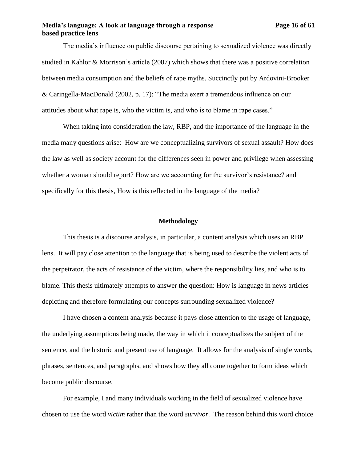## **Media's language: A look at language through a response Page 16 of 61 based practice lens**

The media's influence on public discourse pertaining to sexualized violence was directly studied in Kahlor & Morrison's article (2007) which shows that there was a positive correlation between media consumption and the beliefs of rape myths. Succinctly put by Ardovini-Brooker & Caringella-MacDonald (2002, p. 17): "The media exert a tremendous influence on our attitudes about what rape is, who the victim is, and who is to blame in rape cases."

When taking into consideration the law, RBP, and the importance of the language in the media many questions arise: How are we conceptualizing survivors of sexual assault? How does the law as well as society account for the differences seen in power and privilege when assessing whether a woman should report? How are we accounting for the survivor's resistance? and specifically for this thesis, How is this reflected in the language of the media?

## **Methodology**

<span id="page-15-0"></span>This thesis is a discourse analysis, in particular, a content analysis which uses an RBP lens. It will pay close attention to the language that is being used to describe the violent acts of the perpetrator, the acts of resistance of the victim, where the responsibility lies, and who is to blame. This thesis ultimately attempts to answer the question: How is language in news articles depicting and therefore formulating our concepts surrounding sexualized violence?

I have chosen a content analysis because it pays close attention to the usage of language, the underlying assumptions being made, the way in which it conceptualizes the subject of the sentence, and the historic and present use of language. It allows for the analysis of single words, phrases, sentences, and paragraphs, and shows how they all come together to form ideas which become public discourse.

For example, I and many individuals working in the field of sexualized violence have chosen to use the word *victim* rather than the word *survivor*. The reason behind this word choice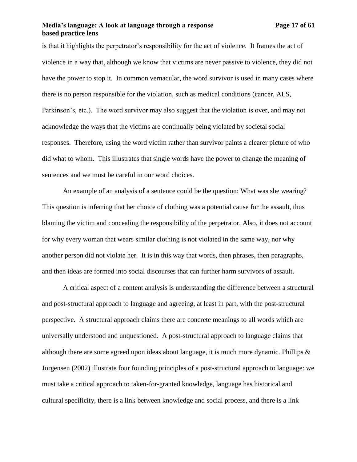## **Media's language: A look at language through a response Page 17 of 61 based practice lens**

is that it highlights the perpetrator's responsibility for the act of violence. It frames the act of violence in a way that, although we know that victims are never passive to violence, they did not have the power to stop it. In common vernacular, the word survivor is used in many cases where there is no person responsible for the violation, such as medical conditions (cancer, ALS, Parkinson's, etc.). The word survivor may also suggest that the violation is over, and may not acknowledge the ways that the victims are continually being violated by societal social responses. Therefore, using the word victim rather than survivor paints a clearer picture of who did what to whom. This illustrates that single words have the power to change the meaning of sentences and we must be careful in our word choices.

An example of an analysis of a sentence could be the question: What was she wearing? This question is inferring that her choice of clothing was a potential cause for the assault, thus blaming the victim and concealing the responsibility of the perpetrator. Also, it does not account for why every woman that wears similar clothing is not violated in the same way, nor why another person did not violate her. It is in this way that words, then phrases, then paragraphs, and then ideas are formed into social discourses that can further harm survivors of assault.

A critical aspect of a content analysis is understanding the difference between a structural and post-structural approach to language and agreeing, at least in part, with the post-structural perspective. A structural approach claims there are concrete meanings to all words which are universally understood and unquestioned. A post-structural approach to language claims that although there are some agreed upon ideas about language, it is much more dynamic. Phillips  $\&$ Jorgensen (2002) illustrate four founding principles of a post-structural approach to language: we must take a critical approach to taken-for-granted knowledge, language has historical and cultural specificity, there is a link between knowledge and social process, and there is a link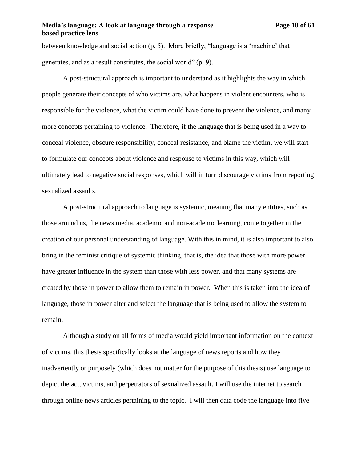between knowledge and social action (p. 5). More briefly, "language is a 'machine' that generates, and as a result constitutes, the social world" (p. 9).

A post-structural approach is important to understand as it highlights the way in which people generate their concepts of who victims are, what happens in violent encounters, who is responsible for the violence, what the victim could have done to prevent the violence, and many more concepts pertaining to violence. Therefore, if the language that is being used in a way to conceal violence, obscure responsibility, conceal resistance, and blame the victim, we will start to formulate our concepts about violence and response to victims in this way, which will ultimately lead to negative social responses, which will in turn discourage victims from reporting sexualized assaults.

A post-structural approach to language is systemic, meaning that many entities, such as those around us, the news media, academic and non-academic learning, come together in the creation of our personal understanding of language. With this in mind, it is also important to also bring in the feminist critique of systemic thinking, that is, the idea that those with more power have greater influence in the system than those with less power, and that many systems are created by those in power to allow them to remain in power. When this is taken into the idea of language, those in power alter and select the language that is being used to allow the system to remain.

Although a study on all forms of media would yield important information on the context of victims, this thesis specifically looks at the language of news reports and how they inadvertently or purposely (which does not matter for the purpose of this thesis) use language to depict the act, victims, and perpetrators of sexualized assault. I will use the internet to search through online news articles pertaining to the topic. I will then data code the language into five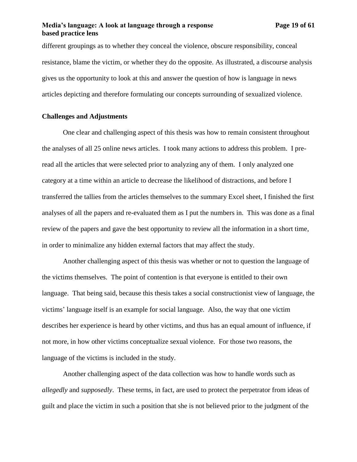## **Media's language: A look at language through a response Page 19 of 61 based practice lens**

different groupings as to whether they conceal the violence, obscure responsibility, conceal resistance, blame the victim, or whether they do the opposite. As illustrated, a discourse analysis gives us the opportunity to look at this and answer the question of how is language in news articles depicting and therefore formulating our concepts surrounding of sexualized violence.

# <span id="page-18-0"></span>**Challenges and Adjustments**

One clear and challenging aspect of this thesis was how to remain consistent throughout the analyses of all 25 online news articles. I took many actions to address this problem. I preread all the articles that were selected prior to analyzing any of them. I only analyzed one category at a time within an article to decrease the likelihood of distractions, and before I transferred the tallies from the articles themselves to the summary Excel sheet, I finished the first analyses of all the papers and re-evaluated them as I put the numbers in. This was done as a final review of the papers and gave the best opportunity to review all the information in a short time, in order to minimalize any hidden external factors that may affect the study.

Another challenging aspect of this thesis was whether or not to question the language of the victims themselves. The point of contention is that everyone is entitled to their own language. That being said, because this thesis takes a social constructionist view of language, the victims' language itself is an example for social language. Also, the way that one victim describes her experience is heard by other victims, and thus has an equal amount of influence, if not more, in how other victims conceptualize sexual violence. For those two reasons, the language of the victims is included in the study.

Another challenging aspect of the data collection was how to handle words such as *allegedly* and *supposedly*. These terms, in fact, are used to protect the perpetrator from ideas of guilt and place the victim in such a position that she is not believed prior to the judgment of the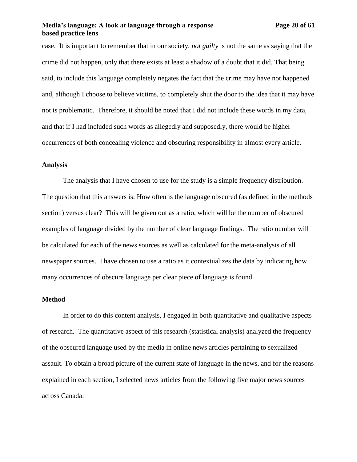#### **Media's language: A look at language through a response Page 20 of 61 based practice lens**

case. It is important to remember that in our society, *not guilty* is not the same as saying that the crime did not happen, only that there exists at least a shadow of a doubt that it did. That being said, to include this language completely negates the fact that the crime may have not happened and, although I choose to believe victims, to completely shut the door to the idea that it may have not is problematic. Therefore, it should be noted that I did not include these words in my data, and that if I had included such words as allegedly and supposedly, there would be higher occurrences of both concealing violence and obscuring responsibility in almost every article.

#### <span id="page-19-0"></span>**Analysis**

The analysis that I have chosen to use for the study is a simple frequency distribution. The question that this answers is: How often is the language obscured (as defined in the methods section) versus clear? This will be given out as a ratio, which will be the number of obscured examples of language divided by the number of clear language findings. The ratio number will be calculated for each of the news sources as well as calculated for the meta-analysis of all newspaper sources. I have chosen to use a ratio as it contextualizes the data by indicating how many occurrences of obscure language per clear piece of language is found.

#### <span id="page-19-1"></span>**Method**

In order to do this content analysis, I engaged in both quantitative and qualitative aspects of research. The quantitative aspect of this research (statistical analysis) analyzed the frequency of the obscured language used by the media in online news articles pertaining to sexualized assault. To obtain a broad picture of the current state of language in the news, and for the reasons explained in each section, I selected news articles from the following five major news sources across Canada: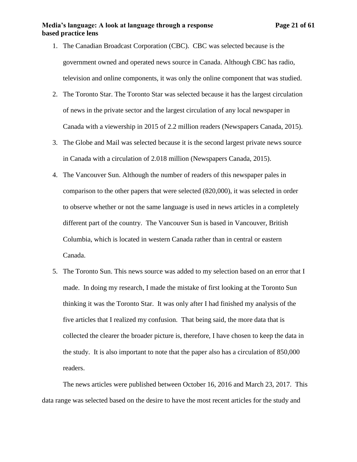- 1. The Canadian Broadcast Corporation (CBC). CBC was selected because is the government owned and operated news source in Canada. Although CBC has radio, television and online components, it was only the online component that was studied.
- 2. The Toronto Star. The Toronto Star was selected because it has the largest circulation of news in the private sector and the largest circulation of any local newspaper in Canada with a viewership in 2015 of 2.2 million readers (Newspapers Canada, 2015).
- 3. The Globe and Mail was selected because it is the second largest private news source in Canada with a circulation of 2.018 million (Newspapers Canada, 2015).
- 4. The Vancouver Sun. Although the number of readers of this newspaper pales in comparison to the other papers that were selected (820,000), it was selected in order to observe whether or not the same language is used in news articles in a completely different part of the country. The Vancouver Sun is based in Vancouver, British Columbia, which is located in western Canada rather than in central or eastern Canada.
- 5. The Toronto Sun. This news source was added to my selection based on an error that I made. In doing my research, I made the mistake of first looking at the Toronto Sun thinking it was the Toronto Star. It was only after I had finished my analysis of the five articles that I realized my confusion. That being said, the more data that is collected the clearer the broader picture is, therefore, I have chosen to keep the data in the study. It is also important to note that the paper also has a circulation of 850,000 readers.

The news articles were published between October 16, 2016 and March 23, 2017. This data range was selected based on the desire to have the most recent articles for the study and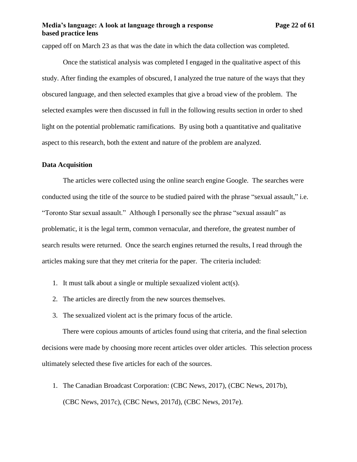# **Media's language: A look at language through a response Page 22 of 61 based practice lens**

capped off on March 23 as that was the date in which the data collection was completed.

Once the statistical analysis was completed I engaged in the qualitative aspect of this study. After finding the examples of obscured, I analyzed the true nature of the ways that they obscured language, and then selected examples that give a broad view of the problem. The selected examples were then discussed in full in the following results section in order to shed light on the potential problematic ramifications. By using both a quantitative and qualitative aspect to this research, both the extent and nature of the problem are analyzed.

#### <span id="page-21-0"></span>**Data Acquisition**

The articles were collected using the online search engine Google. The searches were conducted using the title of the source to be studied paired with the phrase "sexual assault," i.e. "Toronto Star sexual assault." Although I personally see the phrase "sexual assault" as problematic, it is the legal term, common vernacular, and therefore, the greatest number of search results were returned. Once the search engines returned the results, I read through the articles making sure that they met criteria for the paper. The criteria included:

- 1. It must talk about a single or multiple sexualized violent act(s).
- 2. The articles are directly from the new sources themselves.
- 3. The sexualized violent act is the primary focus of the article.

There were copious amounts of articles found using that criteria, and the final selection decisions were made by choosing more recent articles over older articles. This selection process ultimately selected these five articles for each of the sources.

1. The Canadian Broadcast Corporation: (CBC News, 2017), (CBC News, 2017b), (CBC News, 2017c), (CBC News, 2017d), (CBC News, 2017e).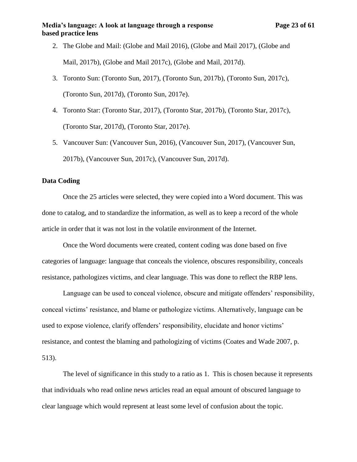- 2. The Globe and Mail: (Globe and Mail 2016), (Globe and Mail 2017), (Globe and Mail, 2017b), (Globe and Mail 2017c), (Globe and Mail, 2017d).
- 3. Toronto Sun: (Toronto Sun, 2017), (Toronto Sun, 2017b), (Toronto Sun, 2017c), (Toronto Sun, 2017d), (Toronto Sun, 2017e).
- 4. Toronto Star: (Toronto Star, 2017), (Toronto Star, 2017b), (Toronto Star, 2017c), (Toronto Star, 2017d), (Toronto Star, 2017e).
- 5. Vancouver Sun: (Vancouver Sun, 2016), (Vancouver Sun, 2017), (Vancouver Sun, 2017b), (Vancouver Sun, 2017c), (Vancouver Sun, 2017d).

# <span id="page-22-0"></span>**Data Coding**

Once the 25 articles were selected, they were copied into a Word document. This was done to catalog, and to standardize the information, as well as to keep a record of the whole article in order that it was not lost in the volatile environment of the Internet.

Once the Word documents were created, content coding was done based on five categories of language: language that conceals the violence, obscures responsibility, conceals resistance, pathologizes victims, and clear language. This was done to reflect the RBP lens.

Language can be used to conceal violence, obscure and mitigate offenders' responsibility, conceal victims' resistance, and blame or pathologize victims. Alternatively, language can be used to expose violence, clarify offenders' responsibility, elucidate and honor victims' resistance, and contest the blaming and pathologizing of victims (Coates and Wade 2007, p. 513).

The level of significance in this study to a ratio as 1. This is chosen because it represents that individuals who read online news articles read an equal amount of obscured language to clear language which would represent at least some level of confusion about the topic.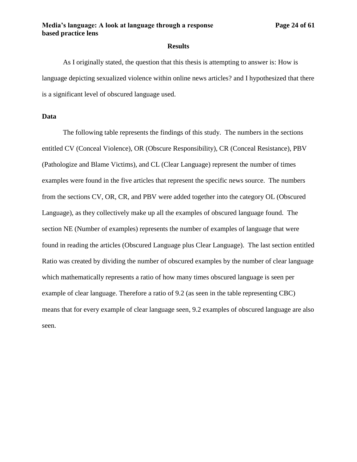#### **Results**

<span id="page-23-0"></span>As I originally stated, the question that this thesis is attempting to answer is: How is language depicting sexualized violence within online news articles? and I hypothesized that there is a significant level of obscured language used.

# <span id="page-23-1"></span>**Data**

The following table represents the findings of this study. The numbers in the sections entitled CV (Conceal Violence), OR (Obscure Responsibility), CR (Conceal Resistance), PBV (Pathologize and Blame Victims), and CL (Clear Language) represent the number of times examples were found in the five articles that represent the specific news source. The numbers from the sections CV, OR, CR, and PBV were added together into the category OL (Obscured Language), as they collectively make up all the examples of obscured language found. The section NE (Number of examples) represents the number of examples of language that were found in reading the articles (Obscured Language plus Clear Language). The last section entitled Ratio was created by dividing the number of obscured examples by the number of clear language which mathematically represents a ratio of how many times obscured language is seen per example of clear language. Therefore a ratio of 9.2 (as seen in the table representing CBC) means that for every example of clear language seen, 9.2 examples of obscured language are also seen.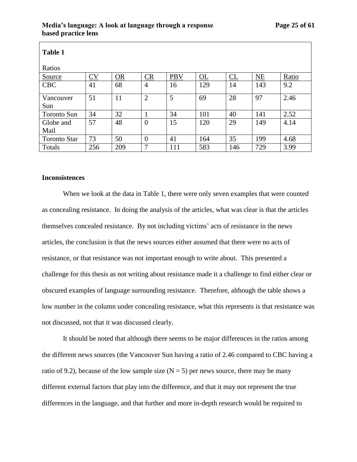<span id="page-24-0"></span>

| <b>Table 1</b>      |                        |     |                |            |           |           |           |       |  |  |
|---------------------|------------------------|-----|----------------|------------|-----------|-----------|-----------|-------|--|--|
| Ratios              |                        |     |                |            |           |           |           |       |  |  |
| Source              | $\overline{\text{CV}}$ | OR  | $CR$           | <b>PBV</b> | <b>OL</b> | <b>CL</b> | <b>NE</b> | Ratio |  |  |
| <b>CBC</b>          | 41                     | 68  | $\overline{4}$ | 16         | 129       | 14        | 143       | 9.2   |  |  |
| Vancouver           | 51                     | 11  | $\overline{2}$ | 5          | 69        | 28        | 97        | 2.46  |  |  |
| Sun                 |                        |     |                |            |           |           |           |       |  |  |
| <b>Toronto Sun</b>  | 34                     | 32  |                | 34         | 101       | 40        | 141       | 2.52  |  |  |
| Globe and           | 57                     | 48  | $\overline{0}$ | 15         | 120       | 29        | 149       | 4.14  |  |  |
| Mail                |                        |     |                |            |           |           |           |       |  |  |
| <b>Toronto Star</b> | 73                     | 50  | $\overline{0}$ | 41         | 164       | 35        | 199       | 4.68  |  |  |
| Totals              | 256                    | 209 | 7              | 111        | 583       | 146       | 729       | 3.99  |  |  |

# <span id="page-24-1"></span>**Inconsistences**

When we look at the data in Table 1, there were only seven examples that were counted as concealing resistance. In doing the analysis of the articles, what was clear is that the articles themselves concealed resistance. By not including victims' acts of resistance in the news articles, the conclusion is that the news sources either assumed that there were no acts of resistance, or that resistance was not important enough to write about. This presented a challenge for this thesis as not writing about resistance made it a challenge to find either clear or obscured examples of language surrounding resistance. Therefore, although the table shows a low number in the column under concealing resistance, what this represents is that resistance was not discussed, not that it was discussed clearly.

It should be noted that although there seems to be major differences in the ratios among the different news sources (the Vancouver Sun having a ratio of 2.46 compared to CBC having a ratio of 9.2), because of the low sample size  $(N = 5)$  per news source, there may be many different external factors that play into the difference, and that it may not represent the true differences in the language, and that further and more in-depth research would be required to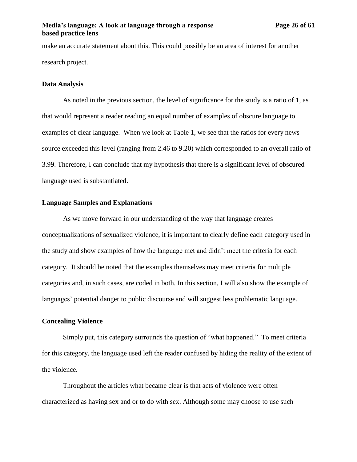## **Media's language: A look at language through a response Page 26 of 61 based practice lens**

make an accurate statement about this. This could possibly be an area of interest for another research project.

#### <span id="page-25-0"></span>**Data Analysis**

As noted in the previous section, the level of significance for the study is a ratio of 1, as that would represent a reader reading an equal number of examples of obscure language to examples of clear language. When we look at Table 1, we see that the ratios for every news source exceeded this level (ranging from 2.46 to 9.20) which corresponded to an overall ratio of 3.99. Therefore, I can conclude that my hypothesis that there is a significant level of obscured language used is substantiated.

# <span id="page-25-1"></span>**Language Samples and Explanations**

As we move forward in our understanding of the way that language creates conceptualizations of sexualized violence, it is important to clearly define each category used in the study and show examples of how the language met and didn't meet the criteria for each category. It should be noted that the examples themselves may meet criteria for multiple categories and, in such cases, are coded in both. In this section, I will also show the example of languages' potential danger to public discourse and will suggest less problematic language.

# <span id="page-25-2"></span>**Concealing Violence**

Simply put, this category surrounds the question of "what happened." To meet criteria for this category, the language used left the reader confused by hiding the reality of the extent of the violence.

Throughout the articles what became clear is that acts of violence were often characterized as having sex and or to do with sex. Although some may choose to use such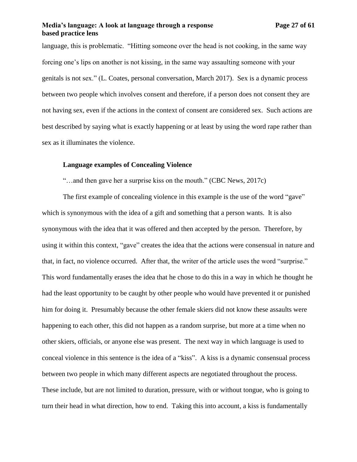## **Media's language: A look at language through a response Page 27 of 61 based practice lens**

language, this is problematic. "Hitting someone over the head is not cooking, in the same way forcing one's lips on another is not kissing, in the same way assaulting someone with your genitals is not sex." (L. Coates, personal conversation, March 2017). Sex is a dynamic process between two people which involves consent and therefore, if a person does not consent they are not having sex, even if the actions in the context of consent are considered sex. Such actions are best described by saying what is exactly happening or at least by using the word rape rather than sex as it illuminates the violence.

# <span id="page-26-0"></span>**Language examples of Concealing Violence**

"…and then gave her a surprise kiss on the mouth." (CBC News, 2017c)

The first example of concealing violence in this example is the use of the word "gave" which is synonymous with the idea of a gift and something that a person wants. It is also synonymous with the idea that it was offered and then accepted by the person. Therefore, by using it within this context, "gave" creates the idea that the actions were consensual in nature and that, in fact, no violence occurred. After that, the writer of the article uses the word "surprise." This word fundamentally erases the idea that he chose to do this in a way in which he thought he had the least opportunity to be caught by other people who would have prevented it or punished him for doing it. Presumably because the other female skiers did not know these assaults were happening to each other, this did not happen as a random surprise, but more at a time when no other skiers, officials, or anyone else was present. The next way in which language is used to conceal violence in this sentence is the idea of a "kiss". A kiss is a dynamic consensual process between two people in which many different aspects are negotiated throughout the process. These include, but are not limited to duration, pressure, with or without tongue, who is going to turn their head in what direction, how to end. Taking this into account, a kiss is fundamentally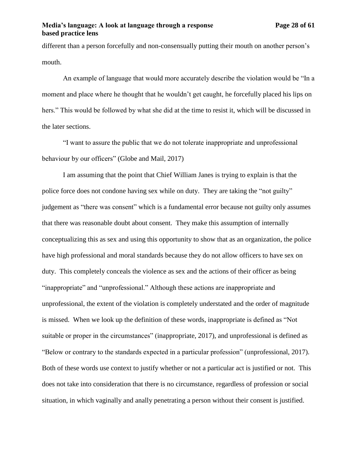different than a person forcefully and non-consensually putting their mouth on another person's mouth.

An example of language that would more accurately describe the violation would be "In a moment and place where he thought that he wouldn't get caught, he forcefully placed his lips on hers." This would be followed by what she did at the time to resist it, which will be discussed in the later sections.

"I want to assure the public that we do not tolerate inappropriate and unprofessional behaviour by our officers" (Globe and Mail, 2017)

I am assuming that the point that Chief William Janes is trying to explain is that the police force does not condone having sex while on duty. They are taking the "not guilty" judgement as "there was consent" which is a fundamental error because not guilty only assumes that there was reasonable doubt about consent. They make this assumption of internally conceptualizing this as sex and using this opportunity to show that as an organization, the police have high professional and moral standards because they do not allow officers to have sex on duty. This completely conceals the violence as sex and the actions of their officer as being "inappropriate" and "unprofessional." Although these actions are inappropriate and unprofessional, the extent of the violation is completely understated and the order of magnitude is missed. When we look up the definition of these words, inappropriate is defined as "Not suitable or proper in the circumstances" (inappropriate, 2017), and unprofessional is defined as "Below or contrary to the standards expected in a particular profession" (unprofessional, 2017). Both of these words use context to justify whether or not a particular act is justified or not. This does not take into consideration that there is no circumstance, regardless of profession or social situation, in which vaginally and anally penetrating a person without their consent is justified.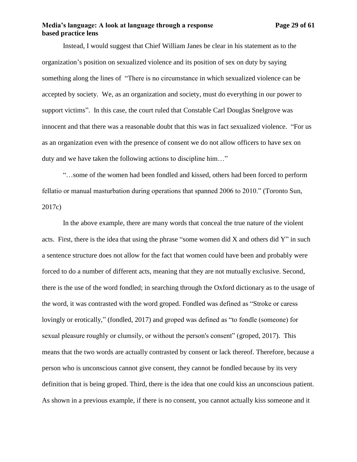## **Media's language: A look at language through a response Page 29 of 61 based practice lens**

Instead, I would suggest that Chief William Janes be clear in his statement as to the organization's position on sexualized violence and its position of sex on duty by saying something along the lines of "There is no circumstance in which sexualized violence can be accepted by society. We, as an organization and society, must do everything in our power to support victims". In this case, the court ruled that Constable Carl Douglas Snelgrove was innocent and that there was a reasonable doubt that this was in fact sexualized violence. "For us as an organization even with the presence of consent we do not allow officers to have sex on duty and we have taken the following actions to discipline him…"

"…some of the women had been fondled and kissed, others had been forced to perform fellatio or manual masturbation during operations that spanned 2006 to 2010." (Toronto Sun, 2017c)

In the above example, there are many words that conceal the true nature of the violent acts. First, there is the idea that using the phrase "some women did X and others did Y" in such a sentence structure does not allow for the fact that women could have been and probably were forced to do a number of different acts, meaning that they are not mutually exclusive. Second, there is the use of the word fondled; in searching through the Oxford dictionary as to the usage of the word, it was contrasted with the word groped. Fondled was defined as "Stroke or caress lovingly or erotically," (fondled, 2017) and groped was defined as "to fondle (someone) for sexual pleasure roughly or clumsily, or without the person's consent" (groped, 2017). This means that the two words are actually contrasted by consent or lack thereof. Therefore, because a person who is unconscious cannot give consent, they cannot be fondled because by its very definition that is being groped. Third, there is the idea that one could kiss an unconscious patient. As shown in a previous example, if there is no consent, you cannot actually kiss someone and it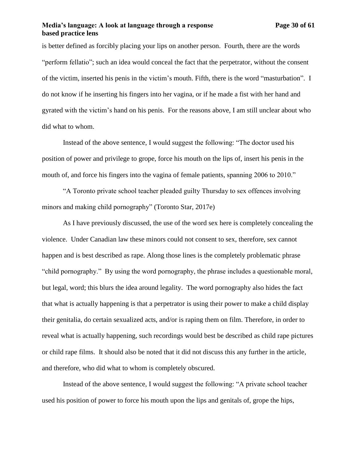## **Media's language: A look at language through a response Page 30 of 61 based practice lens**

is better defined as forcibly placing your lips on another person. Fourth, there are the words "perform fellatio"; such an idea would conceal the fact that the perpetrator, without the consent of the victim, inserted his penis in the victim's mouth. Fifth, there is the word "masturbation". I do not know if he inserting his fingers into her vagina, or if he made a fist with her hand and gyrated with the victim's hand on his penis. For the reasons above, I am still unclear about who did what to whom.

Instead of the above sentence, I would suggest the following: "The doctor used his position of power and privilege to grope, force his mouth on the lips of, insert his penis in the mouth of, and force his fingers into the vagina of female patients, spanning 2006 to 2010."

"A Toronto private school teacher pleaded guilty Thursday to sex offences involving minors and making child pornography" (Toronto Star, 2017e)

As I have previously discussed, the use of the word sex here is completely concealing the violence. Under Canadian law these minors could not consent to sex, therefore, sex cannot happen and is best described as rape. Along those lines is the completely problematic phrase "child pornography." By using the word pornography, the phrase includes a questionable moral, but legal, word; this blurs the idea around legality. The word pornography also hides the fact that what is actually happening is that a perpetrator is using their power to make a child display their genitalia, do certain sexualized acts, and/or is raping them on film. Therefore, in order to reveal what is actually happening, such recordings would best be described as child rape pictures or child rape films. It should also be noted that it did not discuss this any further in the article, and therefore, who did what to whom is completely obscured.

Instead of the above sentence, I would suggest the following: "A private school teacher used his position of power to force his mouth upon the lips and genitals of, grope the hips,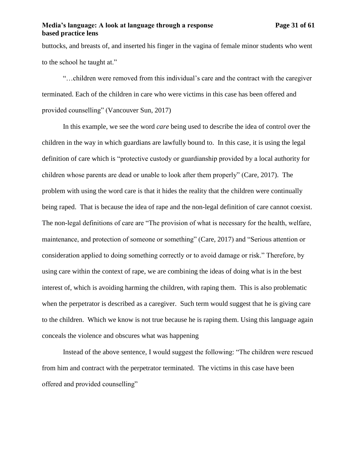buttocks, and breasts of, and inserted his finger in the vagina of female minor students who went to the school he taught at."

"…children were removed from this individual's care and the contract with the caregiver terminated. Each of the children in care who were victims in this case has been offered and provided counselling" (Vancouver Sun, 2017)

In this example, we see the word *care* being used to describe the idea of control over the children in the way in which guardians are lawfully bound to. In this case, it is using the legal definition of care which is "protective custody or guardianship provided by a local authority for children whose parents are dead or unable to look after them properly" (Care, 2017). The problem with using the word care is that it hides the reality that the children were continually being raped. That is because the idea of rape and the non-legal definition of care cannot coexist. The non-legal definitions of care are "The provision of what is necessary for the health, welfare, maintenance, and protection of someone or something" (Care, 2017) and "Serious attention or consideration applied to doing something correctly or to avoid damage or risk." Therefore, by using care within the context of rape, we are combining the ideas of doing what is in the best interest of, which is avoiding harming the children, with raping them. This is also problematic when the perpetrator is described as a caregiver. Such term would suggest that he is giving care to the children. Which we know is not true because he is raping them. Using this language again conceals the violence and obscures what was happening

Instead of the above sentence, I would suggest the following: "The children were rescued from him and contract with the perpetrator terminated. The victims in this case have been offered and provided counselling"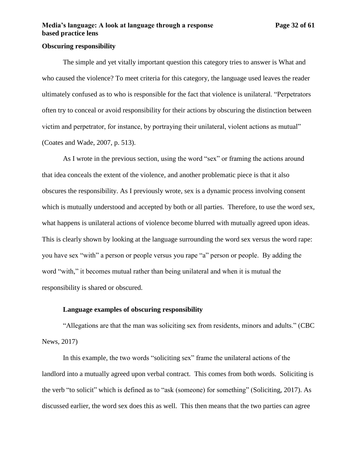#### <span id="page-31-0"></span>**Obscuring responsibility**

The simple and yet vitally important question this category tries to answer is What and who caused the violence? To meet criteria for this category, the language used leaves the reader ultimately confused as to who is responsible for the fact that violence is unilateral. "Perpetrators often try to conceal or avoid responsibility for their actions by obscuring the distinction between victim and perpetrator, for instance, by portraying their unilateral, violent actions as mutual" (Coates and Wade, 2007, p. 513).

As I wrote in the previous section, using the word "sex" or framing the actions around that idea conceals the extent of the violence, and another problematic piece is that it also obscures the responsibility. As I previously wrote, sex is a dynamic process involving consent which is mutually understood and accepted by both or all parties. Therefore, to use the word sex, what happens is unilateral actions of violence become blurred with mutually agreed upon ideas. This is clearly shown by looking at the language surrounding the word sex versus the word rape: you have sex "with" a person or people versus you rape "a" person or people. By adding the word "with," it becomes mutual rather than being unilateral and when it is mutual the responsibility is shared or obscured.

#### **Language examples of obscuring responsibility**

<span id="page-31-1"></span>"Allegations are that the man was soliciting sex from residents, minors and adults." (CBC News, 2017)

In this example, the two words "soliciting sex" frame the unilateral actions of the landlord into a mutually agreed upon verbal contract. This comes from both words. Soliciting is the verb "to solicit" which is defined as to "ask (someone) for something" (Soliciting, 2017). As discussed earlier, the word sex does this as well. This then means that the two parties can agree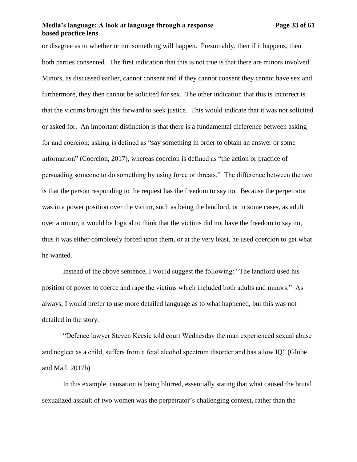#### **Media's language: A look at language through a response Page 33 of 61 based practice lens**

or disagree as to whether or not something will happen. Presumably, then if it happens, then both parties consented. The first indication that this is not true is that there are minors involved. Minors, as discussed earlier, cannot consent and if they cannot consent they cannot have sex and furthermore, they then cannot be solicited for sex. The other indication that this is incorrect is that the victims brought this forward to seek justice. This would indicate that it was not solicited or asked for. An important distinction is that there is a fundamental difference between asking for and coercion; asking is defined as "say something in order to obtain an answer or some information" (Coercion, 2017), whereas coercion is defined as "the action or practice of persuading someone to do something by using force or threats." The difference between the two is that the person responding to the request has the freedom to say no. Because the perpetrator was in a power position over the victim, such as being the landlord, or in some cases, as adult over a minor, it would be logical to think that the victims did not have the freedom to say no, thus it was either completely forced upon them, or at the very least, he used coercion to get what he wanted.

Instead of the above sentence, I would suggest the following: "The landlord used his position of power to coerce and rape the victims which included both adults and minors." As always, I would prefer to use more detailed language as to what happened, but this was not detailed in the story.

"Defence lawyer Steven Keesic told court Wednesday the man experienced sexual abuse and neglect as a child, suffers from a fetal alcohol spectrum disorder and has a low IQ" (Globe and Mail, 2017b)

In this example, causation is being blurred, essentially stating that what caused the brutal sexualized assault of two women was the perpetrator's challenging context, rather than the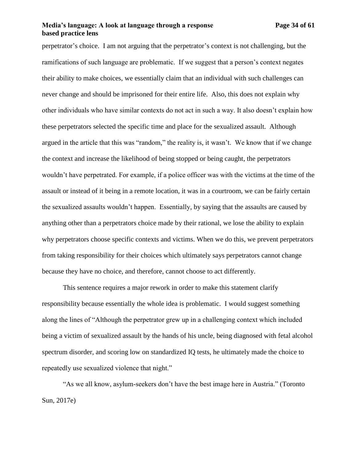#### **Media's language: A look at language through a response Page 34 of 61 based practice lens**

perpetrator's choice. I am not arguing that the perpetrator's context is not challenging, but the ramifications of such language are problematic. If we suggest that a person's context negates their ability to make choices, we essentially claim that an individual with such challenges can never change and should be imprisoned for their entire life. Also, this does not explain why other individuals who have similar contexts do not act in such a way. It also doesn't explain how these perpetrators selected the specific time and place for the sexualized assault. Although argued in the article that this was "random," the reality is, it wasn't. We know that if we change the context and increase the likelihood of being stopped or being caught, the perpetrators wouldn't have perpetrated. For example, if a police officer was with the victims at the time of the assault or instead of it being in a remote location, it was in a courtroom, we can be fairly certain the sexualized assaults wouldn't happen. Essentially, by saying that the assaults are caused by anything other than a perpetrators choice made by their rational, we lose the ability to explain why perpetrators choose specific contexts and victims. When we do this, we prevent perpetrators from taking responsibility for their choices which ultimately says perpetrators cannot change because they have no choice, and therefore, cannot choose to act differently.

This sentence requires a major rework in order to make this statement clarify responsibility because essentially the whole idea is problematic. I would suggest something along the lines of "Although the perpetrator grew up in a challenging context which included being a victim of sexualized assault by the hands of his uncle, being diagnosed with fetal alcohol spectrum disorder, and scoring low on standardized IQ tests, he ultimately made the choice to repeatedly use sexualized violence that night."

"As we all know, asylum-seekers don't have the best image here in Austria." (Toronto Sun, 2017e)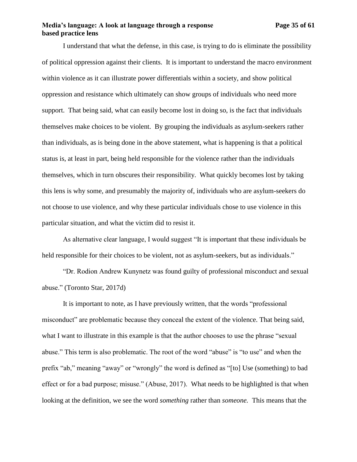## **Media's language: A look at language through a response Page 35 of 61 based practice lens**

I understand that what the defense, in this case, is trying to do is eliminate the possibility of political oppression against their clients. It is important to understand the macro environment within violence as it can illustrate power differentials within a society, and show political oppression and resistance which ultimately can show groups of individuals who need more support. That being said, what can easily become lost in doing so, is the fact that individuals themselves make choices to be violent. By grouping the individuals as asylum-seekers rather than individuals, as is being done in the above statement, what is happening is that a political status is, at least in part, being held responsible for the violence rather than the individuals themselves, which in turn obscures their responsibility. What quickly becomes lost by taking this lens is why some, and presumably the majority of, individuals who are asylum-seekers do not choose to use violence, and why these particular individuals chose to use violence in this particular situation, and what the victim did to resist it.

As alternative clear language, I would suggest "It is important that these individuals be held responsible for their choices to be violent, not as asylum-seekers, but as individuals."

"Dr. Rodion Andrew Kunynetz was found guilty of professional misconduct and sexual abuse." (Toronto Star, 2017d)

It is important to note, as I have previously written, that the words "professional misconduct" are problematic because they conceal the extent of the violence. That being said, what I want to illustrate in this example is that the author chooses to use the phrase "sexual abuse." This term is also problematic. The root of the word "abuse" is "to use" and when the prefix "ab," meaning "away" or "wrongly" the word is defined as "[to] Use (something) to bad effect or for a bad purpose; misuse." (Abuse, 2017). What needs to be highlighted is that when looking at the definition, we see the word *something* rather than *someone.* This means that the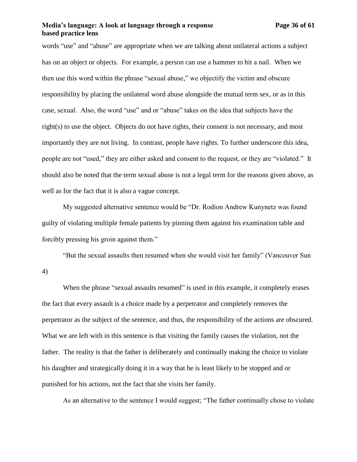#### **Media's language: A look at language through a response Page 36 of 61 based practice lens**

words "use" and "abuse" are appropriate when we are talking about unilateral actions a subject has on an object or objects. For example, a person can use a hammer to hit a nail. When we then use this word within the phrase "sexual abuse," we objectify the victim and obscure responsibility by placing the unilateral word abuse alongside the mutual term sex, or as in this case, sexual. Also, the word "use" and or "abuse" takes on the idea that subjects have the right(s) to use the object. Objects do not have rights, their consent is not necessary, and most importantly they are not living. In contrast, people have rights. To further underscore this idea, people are not "used," they are either asked and consent to the request, or they are "violated." It should also be noted that the term sexual abuse is not a legal term for the reasons given above, as well as for the fact that it is also a vague concept.

My suggested alternative sentence would be "Dr. Rodion Andrew Kunynetz was found guilty of violating multiple female patients by pinning them against his examination table and forcibly pressing his groin against them."

"But the sexual assaults then resumed when she would visit her family" (Vancouver Sun 4)

When the phrase "sexual assaults resumed" is used in this example, it completely erases the fact that every assault is a choice made by a perpetrator and completely removes the perpetrator as the subject of the sentence, and thus, the responsibility of the actions are obscured. What we are left with in this sentence is that visiting the family causes the violation, not the father. The reality is that the father is deliberately and continually making the choice to violate his daughter and strategically doing it in a way that he is least likely to be stopped and or punished for his actions, not the fact that she visits her family.

As an alternative to the sentence I would suggest; "The father continually chose to violate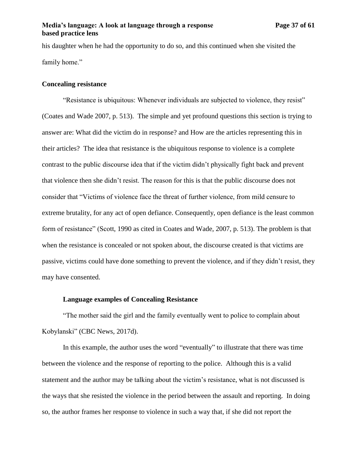his daughter when he had the opportunity to do so, and this continued when she visited the family home."

# <span id="page-36-0"></span>**Concealing resistance**

"Resistance is ubiquitous: Whenever individuals are subjected to violence, they resist" (Coates and Wade 2007, p. 513). The simple and yet profound questions this section is trying to answer are: What did the victim do in response? and How are the articles representing this in their articles? The idea that resistance is the ubiquitous response to violence is a complete contrast to the public discourse idea that if the victim didn't physically fight back and prevent that violence then she didn't resist. The reason for this is that the public discourse does not consider that "Victims of violence face the threat of further violence, from mild censure to extreme brutality, for any act of open defiance. Consequently, open defiance is the least common form of resistance" (Scott, 1990 as cited in Coates and Wade, 2007, p. 513). The problem is that when the resistance is concealed or not spoken about, the discourse created is that victims are passive, victims could have done something to prevent the violence, and if they didn't resist, they may have consented.

#### **Language examples of Concealing Resistance**

<span id="page-36-1"></span>"The mother said the girl and the family eventually went to police to complain about Kobylanski" (CBC News, 2017d).

In this example, the author uses the word "eventually" to illustrate that there was time between the violence and the response of reporting to the police. Although this is a valid statement and the author may be talking about the victim's resistance, what is not discussed is the ways that she resisted the violence in the period between the assault and reporting. In doing so, the author frames her response to violence in such a way that, if she did not report the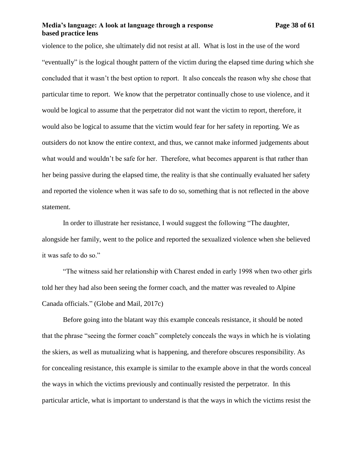#### **Media's language: A look at language through a response Page 38 of 61 based practice lens**

violence to the police, she ultimately did not resist at all. What is lost in the use of the word "eventually" is the logical thought pattern of the victim during the elapsed time during which she concluded that it wasn't the best option to report. It also conceals the reason why she chose that particular time to report. We know that the perpetrator continually chose to use violence, and it would be logical to assume that the perpetrator did not want the victim to report, therefore, it would also be logical to assume that the victim would fear for her safety in reporting. We as outsiders do not know the entire context, and thus, we cannot make informed judgements about what would and wouldn't be safe for her. Therefore, what becomes apparent is that rather than her being passive during the elapsed time, the reality is that she continually evaluated her safety and reported the violence when it was safe to do so, something that is not reflected in the above statement.

In order to illustrate her resistance, I would suggest the following "The daughter, alongside her family, went to the police and reported the sexualized violence when she believed it was safe to do so."

"The witness said her relationship with Charest ended in early 1998 when two other girls told her they had also been seeing the former coach, and the matter was revealed to Alpine Canada officials." (Globe and Mail, 2017c)

Before going into the blatant way this example conceals resistance, it should be noted that the phrase "seeing the former coach" completely conceals the ways in which he is violating the skiers, as well as mutualizing what is happening, and therefore obscures responsibility. As for concealing resistance, this example is similar to the example above in that the words conceal the ways in which the victims previously and continually resisted the perpetrator. In this particular article, what is important to understand is that the ways in which the victims resist the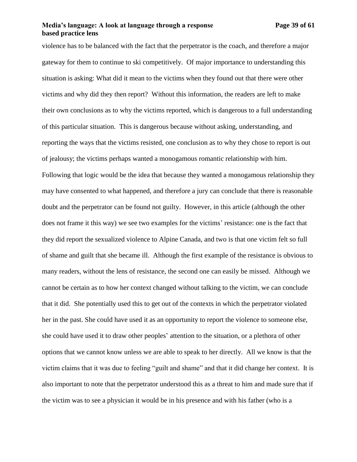#### **Media's language: A look at language through a response Page 39 of 61 based practice lens**

violence has to be balanced with the fact that the perpetrator is the coach, and therefore a major gateway for them to continue to ski competitively. Of major importance to understanding this situation is asking: What did it mean to the victims when they found out that there were other victims and why did they then report? Without this information, the readers are left to make their own conclusions as to why the victims reported, which is dangerous to a full understanding of this particular situation. This is dangerous because without asking, understanding, and reporting the ways that the victims resisted, one conclusion as to why they chose to report is out of jealousy; the victims perhaps wanted a monogamous romantic relationship with him. Following that logic would be the idea that because they wanted a monogamous relationship they may have consented to what happened, and therefore a jury can conclude that there is reasonable doubt and the perpetrator can be found not guilty. However, in this article (although the other does not frame it this way) we see two examples for the victims' resistance: one is the fact that they did report the sexualized violence to Alpine Canada, and two is that one victim felt so full of shame and guilt that she became ill. Although the first example of the resistance is obvious to many readers, without the lens of resistance, the second one can easily be missed. Although we cannot be certain as to how her context changed without talking to the victim, we can conclude that it did. She potentially used this to get out of the contexts in which the perpetrator violated her in the past. She could have used it as an opportunity to report the violence to someone else, she could have used it to draw other peoples' attention to the situation, or a plethora of other options that we cannot know unless we are able to speak to her directly. All we know is that the victim claims that it was due to feeling "guilt and shame" and that it did change her context. It is also important to note that the perpetrator understood this as a threat to him and made sure that if the victim was to see a physician it would be in his presence and with his father (who is a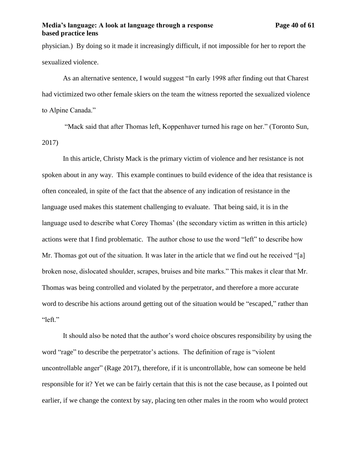physician.) By doing so it made it increasingly difficult, if not impossible for her to report the sexualized violence.

As an alternative sentence, I would suggest "In early 1998 after finding out that Charest had victimized two other female skiers on the team the witness reported the sexualized violence to Alpine Canada."

"Mack said that after Thomas left, Koppenhaver turned his rage on her." (Toronto Sun, 2017)

In this article, Christy Mack is the primary victim of violence and her resistance is not spoken about in any way. This example continues to build evidence of the idea that resistance is often concealed, in spite of the fact that the absence of any indication of resistance in the language used makes this statement challenging to evaluate. That being said, it is in the language used to describe what Corey Thomas' (the secondary victim as written in this article) actions were that I find problematic. The author chose to use the word "left" to describe how Mr. Thomas got out of the situation. It was later in the article that we find out he received "[a] broken nose, dislocated shoulder, scrapes, bruises and bite marks." This makes it clear that Mr. Thomas was being controlled and violated by the perpetrator, and therefore a more accurate word to describe his actions around getting out of the situation would be "escaped," rather than "left."

It should also be noted that the author's word choice obscures responsibility by using the word "rage" to describe the perpetrator's actions. The definition of rage is "violent uncontrollable anger" (Rage 2017), therefore, if it is uncontrollable, how can someone be held responsible for it? Yet we can be fairly certain that this is not the case because, as I pointed out earlier, if we change the context by say, placing ten other males in the room who would protect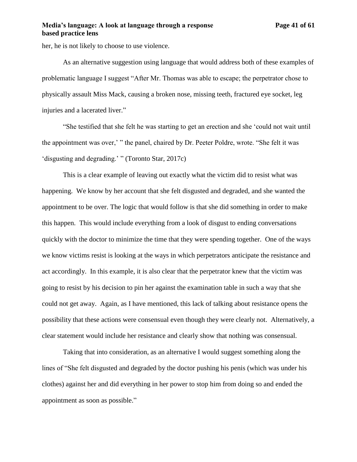# **Media's language: A look at language through a response Page 41 of 61 based practice lens**

her, he is not likely to choose to use violence.

As an alternative suggestion using language that would address both of these examples of problematic language I suggest "After Mr. Thomas was able to escape; the perpetrator chose to physically assault Miss Mack, causing a broken nose, missing teeth, fractured eye socket, leg injuries and a lacerated liver."

"She testified that she felt he was starting to get an erection and she 'could not wait until the appointment was over,' " the panel, chaired by Dr. Peeter Poldre, wrote. "She felt it was 'disgusting and degrading.' " (Toronto Star, 2017c)

This is a clear example of leaving out exactly what the victim did to resist what was happening. We know by her account that she felt disgusted and degraded, and she wanted the appointment to be over. The logic that would follow is that she did something in order to make this happen. This would include everything from a look of disgust to ending conversations quickly with the doctor to minimize the time that they were spending together. One of the ways we know victims resist is looking at the ways in which perpetrators anticipate the resistance and act accordingly. In this example, it is also clear that the perpetrator knew that the victim was going to resist by his decision to pin her against the examination table in such a way that she could not get away. Again, as I have mentioned, this lack of talking about resistance opens the possibility that these actions were consensual even though they were clearly not. Alternatively, a clear statement would include her resistance and clearly show that nothing was consensual.

Taking that into consideration, as an alternative I would suggest something along the lines of "She felt disgusted and degraded by the doctor pushing his penis (which was under his clothes) against her and did everything in her power to stop him from doing so and ended the appointment as soon as possible."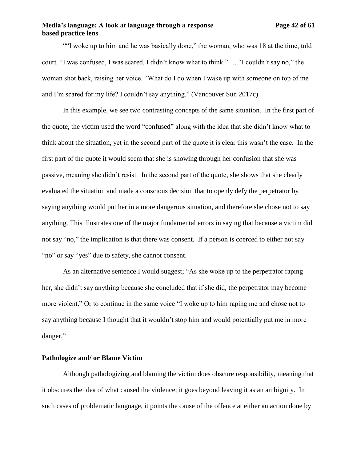## **Media's language: A look at language through a response Page 42 of 61 based practice lens**

""I woke up to him and he was basically done," the woman, who was 18 at the time, told court. "I was confused, I was scared. I didn't know what to think." … "I couldn't say no," the woman shot back, raising her voice. "What do I do when I wake up with someone on top of me and I'm scared for my life? I couldn't say anything." (Vancouver Sun 2017c)

In this example, we see two contrasting concepts of the same situation. In the first part of the quote, the victim used the word "confused" along with the idea that she didn't know what to think about the situation, yet in the second part of the quote it is clear this wasn't the case. In the first part of the quote it would seem that she is showing through her confusion that she was passive, meaning she didn't resist. In the second part of the quote, she shows that she clearly evaluated the situation and made a conscious decision that to openly defy the perpetrator by saying anything would put her in a more dangerous situation, and therefore she chose not to say anything. This illustrates one of the major fundamental errors in saying that because a victim did not say "no," the implication is that there was consent. If a person is coerced to either not say "no" or say "yes" due to safety, she cannot consent.

As an alternative sentence I would suggest; "As she woke up to the perpetrator raping her, she didn't say anything because she concluded that if she did, the perpetrator may become more violent." Or to continue in the same voice "I woke up to him raping me and chose not to say anything because I thought that it wouldn't stop him and would potentially put me in more danger."

#### <span id="page-41-0"></span>**Pathologize and/ or Blame Victim**

Although pathologizing and blaming the victim does obscure responsibility, meaning that it obscures the idea of what caused the violence; it goes beyond leaving it as an ambiguity. In such cases of problematic language, it points the cause of the offence at either an action done by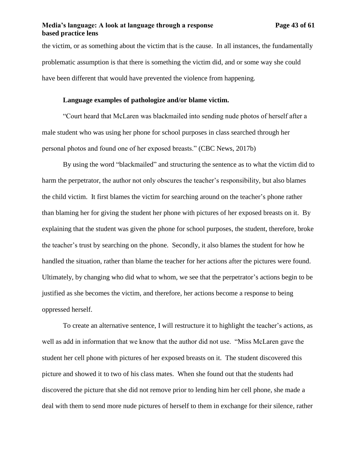the victim, or as something about the victim that is the cause. In all instances, the fundamentally problematic assumption is that there is something the victim did, and or some way she could have been different that would have prevented the violence from happening.

# **Language examples of pathologize and/or blame victim.**

<span id="page-42-0"></span>"Court heard that McLaren was blackmailed into sending nude photos of herself after a male student who was using her phone for school purposes in class searched through her personal photos and found one of her exposed breasts." (CBC News, 2017b)

By using the word "blackmailed" and structuring the sentence as to what the victim did to harm the perpetrator, the author not only obscures the teacher's responsibility, but also blames the child victim. It first blames the victim for searching around on the teacher's phone rather than blaming her for giving the student her phone with pictures of her exposed breasts on it. By explaining that the student was given the phone for school purposes, the student, therefore, broke the teacher's trust by searching on the phone. Secondly, it also blames the student for how he handled the situation, rather than blame the teacher for her actions after the pictures were found. Ultimately, by changing who did what to whom, we see that the perpetrator's actions begin to be justified as she becomes the victim, and therefore, her actions become a response to being oppressed herself.

To create an alternative sentence, I will restructure it to highlight the teacher's actions, as well as add in information that we know that the author did not use. "Miss McLaren gave the student her cell phone with pictures of her exposed breasts on it. The student discovered this picture and showed it to two of his class mates. When she found out that the students had discovered the picture that she did not remove prior to lending him her cell phone, she made a deal with them to send more nude pictures of herself to them in exchange for their silence, rather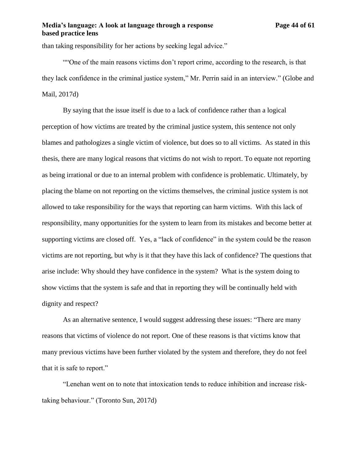# **Media's language: A look at language through a response Page 44 of 61 based practice lens**

than taking responsibility for her actions by seeking legal advice."

"One of the main reasons victims don't report crime, according to the research, is that they lack confidence in the criminal justice system," Mr. Perrin said in an interview." (Globe and Mail, 2017d)

By saying that the issue itself is due to a lack of confidence rather than a logical perception of how victims are treated by the criminal justice system, this sentence not only blames and pathologizes a single victim of violence, but does so to all victims. As stated in this thesis, there are many logical reasons that victims do not wish to report. To equate not reporting as being irrational or due to an internal problem with confidence is problematic. Ultimately, by placing the blame on not reporting on the victims themselves, the criminal justice system is not allowed to take responsibility for the ways that reporting can harm victims. With this lack of responsibility, many opportunities for the system to learn from its mistakes and become better at supporting victims are closed off. Yes, a "lack of confidence" in the system could be the reason victims are not reporting, but why is it that they have this lack of confidence? The questions that arise include: Why should they have confidence in the system? What is the system doing to show victims that the system is safe and that in reporting they will be continually held with dignity and respect?

As an alternative sentence, I would suggest addressing these issues: "There are many reasons that victims of violence do not report. One of these reasons is that victims know that many previous victims have been further violated by the system and therefore, they do not feel that it is safe to report."

"Lenehan went on to note that intoxication tends to reduce inhibition and increase risktaking behaviour." (Toronto Sun, 2017d)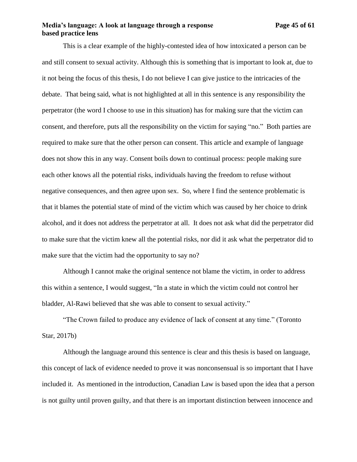## **Media's language: A look at language through a response Page 45 of 61 based practice lens**

This is a clear example of the highly-contested idea of how intoxicated a person can be and still consent to sexual activity. Although this is something that is important to look at, due to it not being the focus of this thesis, I do not believe I can give justice to the intricacies of the debate. That being said, what is not highlighted at all in this sentence is any responsibility the perpetrator (the word I choose to use in this situation) has for making sure that the victim can consent, and therefore, puts all the responsibility on the victim for saying "no." Both parties are required to make sure that the other person can consent. This article and example of language does not show this in any way. Consent boils down to continual process: people making sure each other knows all the potential risks, individuals having the freedom to refuse without negative consequences, and then agree upon sex. So, where I find the sentence problematic is that it blames the potential state of mind of the victim which was caused by her choice to drink alcohol, and it does not address the perpetrator at all. It does not ask what did the perpetrator did to make sure that the victim knew all the potential risks, nor did it ask what the perpetrator did to make sure that the victim had the opportunity to say no?

Although I cannot make the original sentence not blame the victim, in order to address this within a sentence, I would suggest, "In a state in which the victim could not control her bladder, Al-Rawi believed that she was able to consent to sexual activity."

"The Crown failed to produce any evidence of lack of consent at any time." (Toronto Star, 2017b)

Although the language around this sentence is clear and this thesis is based on language, this concept of lack of evidence needed to prove it was nonconsensual is so important that I have included it. As mentioned in the introduction, Canadian Law is based upon the idea that a person is not guilty until proven guilty, and that there is an important distinction between innocence and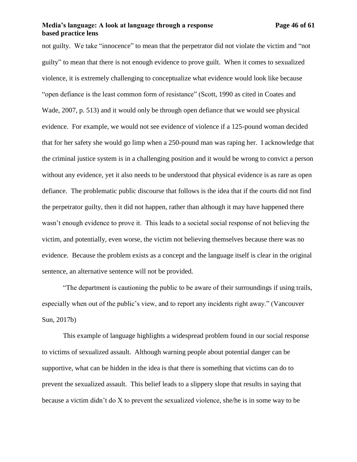#### **Media's language: A look at language through a response Page 46 of 61 based practice lens**

not guilty. We take "innocence" to mean that the perpetrator did not violate the victim and "not guilty" to mean that there is not enough evidence to prove guilt. When it comes to sexualized violence, it is extremely challenging to conceptualize what evidence would look like because "open defiance is the least common form of resistance" (Scott, 1990 as cited in Coates and Wade, 2007, p. 513) and it would only be through open defiance that we would see physical evidence. For example, we would not see evidence of violence if a 125-pound woman decided that for her safety she would go limp when a 250-pound man was raping her. I acknowledge that the criminal justice system is in a challenging position and it would be wrong to convict a person without any evidence, yet it also needs to be understood that physical evidence is as rare as open defiance. The problematic public discourse that follows is the idea that if the courts did not find the perpetrator guilty, then it did not happen, rather than although it may have happened there wasn't enough evidence to prove it. This leads to a societal social response of not believing the victim, and potentially, even worse, the victim not believing themselves because there was no evidence. Because the problem exists as a concept and the language itself is clear in the original sentence, an alternative sentence will not be provided.

"The department is cautioning the public to be aware of their surroundings if using trails, especially when out of the public's view, and to report any incidents right away." (Vancouver Sun, 2017b)

This example of language highlights a widespread problem found in our social response to victims of sexualized assault. Although warning people about potential danger can be supportive, what can be hidden in the idea is that there is something that victims can do to prevent the sexualized assault. This belief leads to a slippery slope that results in saying that because a victim didn't do X to prevent the sexualized violence, she/he is in some way to be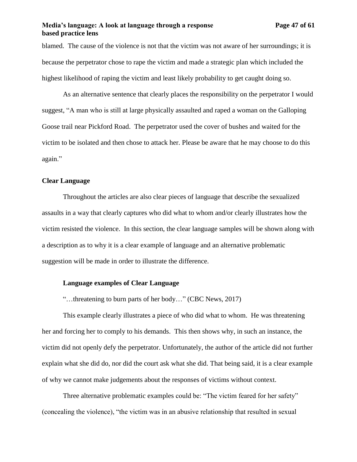## **Media's language: A look at language through a response Page 47 of 61 based practice lens**

blamed. The cause of the violence is not that the victim was not aware of her surroundings; it is because the perpetrator chose to rape the victim and made a strategic plan which included the highest likelihood of raping the victim and least likely probability to get caught doing so.

As an alternative sentence that clearly places the responsibility on the perpetrator I would suggest, "A man who is still at large physically assaulted and raped a woman on the Galloping Goose trail near Pickford Road. The perpetrator used the cover of bushes and waited for the victim to be isolated and then chose to attack her. Please be aware that he may choose to do this again."

#### <span id="page-46-0"></span>**Clear Language**

Throughout the articles are also clear pieces of language that describe the sexualized assaults in a way that clearly captures who did what to whom and/or clearly illustrates how the victim resisted the violence. In this section, the clear language samples will be shown along with a description as to why it is a clear example of language and an alternative problematic suggestion will be made in order to illustrate the difference.

#### <span id="page-46-1"></span>**Language examples of Clear Language**

"…threatening to burn parts of her body…" (CBC News, 2017)

This example clearly illustrates a piece of who did what to whom. He was threatening her and forcing her to comply to his demands. This then shows why, in such an instance, the victim did not openly defy the perpetrator. Unfortunately, the author of the article did not further explain what she did do, nor did the court ask what she did. That being said, it is a clear example of why we cannot make judgements about the responses of victims without context.

Three alternative problematic examples could be: "The victim feared for her safety" (concealing the violence), "the victim was in an abusive relationship that resulted in sexual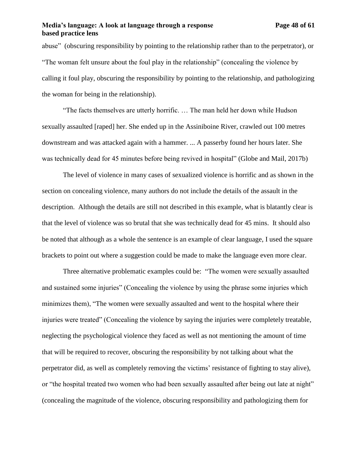## **Media's language: A look at language through a response Page 48 of 61 based practice lens**

abuse" (obscuring responsibility by pointing to the relationship rather than to the perpetrator), or "The woman felt unsure about the foul play in the relationship" (concealing the violence by calling it foul play, obscuring the responsibility by pointing to the relationship, and pathologizing the woman for being in the relationship).

"The facts themselves are utterly horrific. … The man held her down while Hudson sexually assaulted [raped] her. She ended up in the Assiniboine River, crawled out 100 metres downstream and was attacked again with a hammer. ... A passerby found her hours later. She was technically dead for 45 minutes before being revived in hospital" (Globe and Mail, 2017b)

The level of violence in many cases of sexualized violence is horrific and as shown in the section on concealing violence, many authors do not include the details of the assault in the description. Although the details are still not described in this example, what is blatantly clear is that the level of violence was so brutal that she was technically dead for 45 mins. It should also be noted that although as a whole the sentence is an example of clear language, I used the square brackets to point out where a suggestion could be made to make the language even more clear.

Three alternative problematic examples could be: "The women were sexually assaulted and sustained some injuries" (Concealing the violence by using the phrase some injuries which minimizes them), "The women were sexually assaulted and went to the hospital where their injuries were treated" (Concealing the violence by saying the injuries were completely treatable, neglecting the psychological violence they faced as well as not mentioning the amount of time that will be required to recover, obscuring the responsibility by not talking about what the perpetrator did, as well as completely removing the victims' resistance of fighting to stay alive), or "the hospital treated two women who had been sexually assaulted after being out late at night" (concealing the magnitude of the violence, obscuring responsibility and pathologizing them for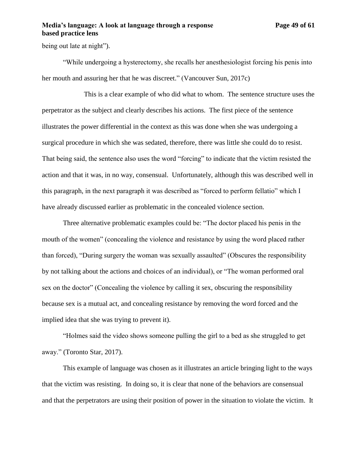being out late at night").

"While undergoing a hysterectomy, she recalls her anesthesiologist forcing his penis into her mouth and assuring her that he was discreet." (Vancouver Sun, 2017c)

This is a clear example of who did what to whom. The sentence structure uses the perpetrator as the subject and clearly describes his actions. The first piece of the sentence illustrates the power differential in the context as this was done when she was undergoing a surgical procedure in which she was sedated, therefore, there was little she could do to resist. That being said, the sentence also uses the word "forcing" to indicate that the victim resisted the action and that it was, in no way, consensual. Unfortunately, although this was described well in this paragraph, in the next paragraph it was described as "forced to perform fellatio" which I have already discussed earlier as problematic in the concealed violence section.

Three alternative problematic examples could be: "The doctor placed his penis in the mouth of the women" (concealing the violence and resistance by using the word placed rather than forced), "During surgery the woman was sexually assaulted" (Obscures the responsibility by not talking about the actions and choices of an individual), or "The woman performed oral sex on the doctor" (Concealing the violence by calling it sex, obscuring the responsibility because sex is a mutual act, and concealing resistance by removing the word forced and the implied idea that she was trying to prevent it).

"Holmes said the video shows someone pulling the girl to a bed as she struggled to get away." (Toronto Star, 2017).

This example of language was chosen as it illustrates an article bringing light to the ways that the victim was resisting. In doing so, it is clear that none of the behaviors are consensual and that the perpetrators are using their position of power in the situation to violate the victim. It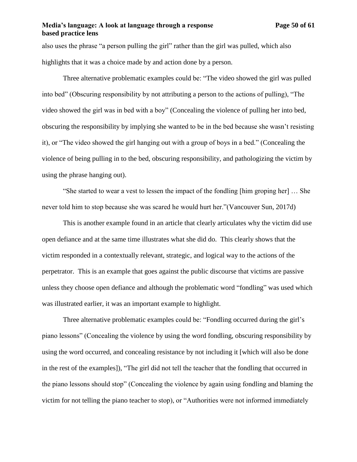also uses the phrase "a person pulling the girl" rather than the girl was pulled, which also highlights that it was a choice made by and action done by a person.

Three alternative problematic examples could be: "The video showed the girl was pulled into bed" (Obscuring responsibility by not attributing a person to the actions of pulling), "The video showed the girl was in bed with a boy" (Concealing the violence of pulling her into bed, obscuring the responsibility by implying she wanted to be in the bed because she wasn't resisting it), or "The video showed the girl hanging out with a group of boys in a bed." (Concealing the violence of being pulling in to the bed, obscuring responsibility, and pathologizing the victim by using the phrase hanging out).

"She started to wear a vest to lessen the impact of the fondling [him groping her] … She never told him to stop because she was scared he would hurt her."(Vancouver Sun, 2017d)

This is another example found in an article that clearly articulates why the victim did use open defiance and at the same time illustrates what she did do. This clearly shows that the victim responded in a contextually relevant, strategic, and logical way to the actions of the perpetrator. This is an example that goes against the public discourse that victims are passive unless they choose open defiance and although the problematic word "fondling" was used which was illustrated earlier, it was an important example to highlight.

Three alternative problematic examples could be: "Fondling occurred during the girl's piano lessons" (Concealing the violence by using the word fondling, obscuring responsibility by using the word occurred, and concealing resistance by not including it [which will also be done in the rest of the examples]), "The girl did not tell the teacher that the fondling that occurred in the piano lessons should stop" (Concealing the violence by again using fondling and blaming the victim for not telling the piano teacher to stop), or "Authorities were not informed immediately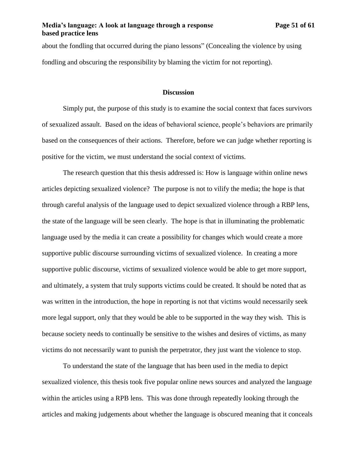about the fondling that occurred during the piano lessons" (Concealing the violence by using fondling and obscuring the responsibility by blaming the victim for not reporting).

#### **Discussion**

<span id="page-50-0"></span>Simply put, the purpose of this study is to examine the social context that faces survivors of sexualized assault. Based on the ideas of behavioral science, people's behaviors are primarily based on the consequences of their actions. Therefore, before we can judge whether reporting is positive for the victim, we must understand the social context of victims.

The research question that this thesis addressed is: How is language within online news articles depicting sexualized violence? The purpose is not to vilify the media; the hope is that through careful analysis of the language used to depict sexualized violence through a RBP lens, the state of the language will be seen clearly. The hope is that in illuminating the problematic language used by the media it can create a possibility for changes which would create a more supportive public discourse surrounding victims of sexualized violence. In creating a more supportive public discourse, victims of sexualized violence would be able to get more support, and ultimately, a system that truly supports victims could be created. It should be noted that as was written in the introduction, the hope in reporting is not that victims would necessarily seek more legal support, only that they would be able to be supported in the way they wish. This is because society needs to continually be sensitive to the wishes and desires of victims, as many victims do not necessarily want to punish the perpetrator, they just want the violence to stop.

To understand the state of the language that has been used in the media to depict sexualized violence, this thesis took five popular online news sources and analyzed the language within the articles using a RPB lens. This was done through repeatedly looking through the articles and making judgements about whether the language is obscured meaning that it conceals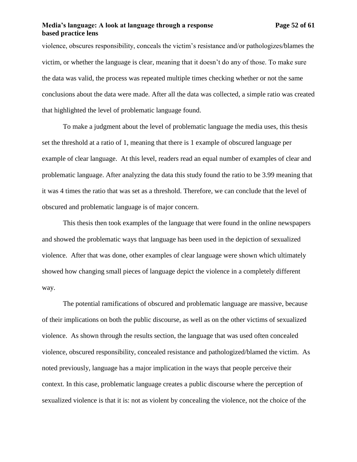## **Media's language: A look at language through a response Page 52 of 61 based practice lens**

violence, obscures responsibility, conceals the victim's resistance and/or pathologizes/blames the victim, or whether the language is clear, meaning that it doesn't do any of those. To make sure the data was valid, the process was repeated multiple times checking whether or not the same conclusions about the data were made. After all the data was collected, a simple ratio was created that highlighted the level of problematic language found.

To make a judgment about the level of problematic language the media uses, this thesis set the threshold at a ratio of 1, meaning that there is 1 example of obscured language per example of clear language. At this level, readers read an equal number of examples of clear and problematic language. After analyzing the data this study found the ratio to be 3.99 meaning that it was 4 times the ratio that was set as a threshold. Therefore, we can conclude that the level of obscured and problematic language is of major concern.

This thesis then took examples of the language that were found in the online newspapers and showed the problematic ways that language has been used in the depiction of sexualized violence. After that was done, other examples of clear language were shown which ultimately showed how changing small pieces of language depict the violence in a completely different way.

The potential ramifications of obscured and problematic language are massive, because of their implications on both the public discourse, as well as on the other victims of sexualized violence. As shown through the results section, the language that was used often concealed violence, obscured responsibility, concealed resistance and pathologized/blamed the victim. As noted previously, language has a major implication in the ways that people perceive their context. In this case, problematic language creates a public discourse where the perception of sexualized violence is that it is: not as violent by concealing the violence, not the choice of the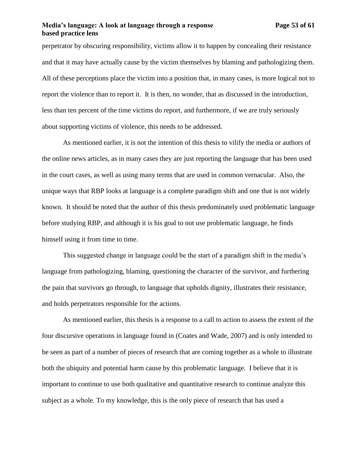## **Media's language: A look at language through a response Page 53 of 61 based practice lens**

perpetrator by obscuring responsibility, victims allow it to happen by concealing their resistance and that it may have actually cause by the victim themselves by blaming and pathologizing them. All of these perceptions place the victim into a position that, in many cases, is more logical not to report the violence than to report it. It is then, no wonder, that as discussed in the introduction, less than ten percent of the time victims do report, and furthermore, if we are truly seriously about supporting victims of violence, this needs to be addressed.

As mentioned earlier, it is not the intention of this thesis to vilify the media or authors of the online news articles, as in many cases they are just reporting the language that has been used in the court cases, as well as using many terms that are used in common vernacular. Also, the unique ways that RBP looks at language is a complete paradigm shift and one that is not widely known. It should be noted that the author of this thesis predominately used problematic language before studying RBP, and although it is his goal to not use problematic language, he finds himself using it from time to time.

This suggested change in language could be the start of a paradigm shift in the media's language from pathologizing, blaming, questioning the character of the survivor, and furthering the pain that survivors go through, to language that upholds dignity, illustrates their resistance, and holds perpetrators responsible for the actions.

As mentioned earlier, this thesis is a response to a call to action to assess the extent of the four discursive operations in language found in (Coates and Wade, 2007) and is only intended to be seen as part of a number of pieces of research that are coming together as a whole to illustrate both the ubiquity and potential harm cause by this problematic language. I believe that it is important to continue to use both qualitative and quantitative research to continue analyze this subject as a whole. To my knowledge, this is the only piece of research that has used a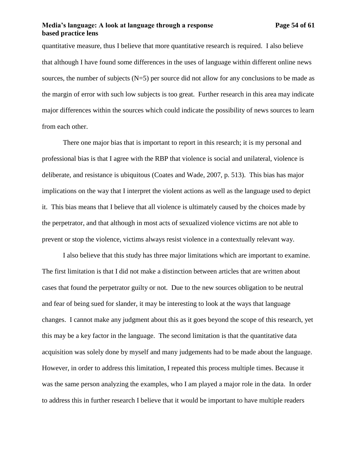## **Media's language: A look at language through a response Page 54 of 61 based practice lens**

quantitative measure, thus I believe that more quantitative research is required. I also believe that although I have found some differences in the uses of language within different online news sources, the number of subjects  $(N=5)$  per source did not allow for any conclusions to be made as the margin of error with such low subjects is too great. Further research in this area may indicate major differences within the sources which could indicate the possibility of news sources to learn from each other.

There one major bias that is important to report in this research; it is my personal and professional bias is that I agree with the RBP that violence is social and unilateral, violence is deliberate, and resistance is ubiquitous (Coates and Wade, 2007, p. 513). This bias has major implications on the way that I interpret the violent actions as well as the language used to depict it. This bias means that I believe that all violence is ultimately caused by the choices made by the perpetrator, and that although in most acts of sexualized violence victims are not able to prevent or stop the violence, victims always resist violence in a contextually relevant way.

I also believe that this study has three major limitations which are important to examine. The first limitation is that I did not make a distinction between articles that are written about cases that found the perpetrator guilty or not. Due to the new sources obligation to be neutral and fear of being sued for slander, it may be interesting to look at the ways that language changes. I cannot make any judgment about this as it goes beyond the scope of this research, yet this may be a key factor in the language. The second limitation is that the quantitative data acquisition was solely done by myself and many judgements had to be made about the language. However, in order to address this limitation, I repeated this process multiple times. Because it was the same person analyzing the examples, who I am played a major role in the data. In order to address this in further research I believe that it would be important to have multiple readers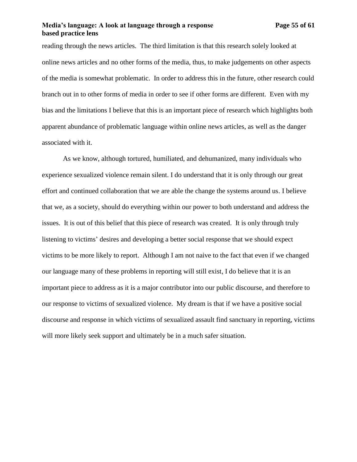## **Media's language: A look at language through a response Page 55 of 61 based practice lens**

reading through the news articles. The third limitation is that this research solely looked at online news articles and no other forms of the media, thus, to make judgements on other aspects of the media is somewhat problematic. In order to address this in the future, other research could branch out in to other forms of media in order to see if other forms are different. Even with my bias and the limitations I believe that this is an important piece of research which highlights both apparent abundance of problematic language within online news articles, as well as the danger associated with it.

As we know, although tortured, humiliated, and dehumanized, many individuals who experience sexualized violence remain silent. I do understand that it is only through our great effort and continued collaboration that we are able the change the systems around us. I believe that we, as a society, should do everything within our power to both understand and address the issues. It is out of this belief that this piece of research was created. It is only through truly listening to victims' desires and developing a better social response that we should expect victims to be more likely to report. Although I am not naive to the fact that even if we changed our language many of these problems in reporting will still exist, I do believe that it is an important piece to address as it is a major contributor into our public discourse, and therefore to our response to victims of sexualized violence. My dream is that if we have a positive social discourse and response in which victims of sexualized assault find sanctuary in reporting, victims will more likely seek support and ultimately be in a much safer situation.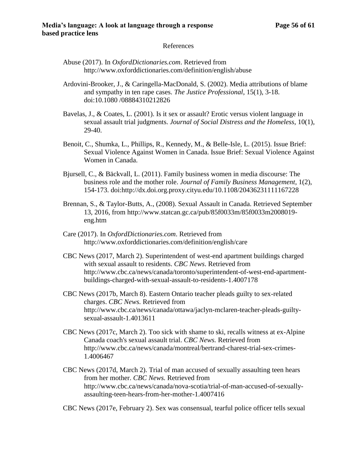#### References

- <span id="page-55-0"></span>Abuse (2017). In *OxfordDictionaries.com*. Retrieved from http://www.oxforddictionaries.com/definition/english/abuse
- Ardovini-Brooker, J., & Caringella-MacDonald, S. (2002). Media attributions of blame and sympathy in ten rape cases. *The Justice Professional*, 15(1), 3-18. doi:10.1080 /08884310212826
- Bavelas, J., & Coates, L. (2001). Is it sex or assault? Erotic versus violent language in sexual assault trial judgments. *Journal of Social Distress and the Homeless*, 10(1), 29-40.
- Benoit, C., Shumka, L., Phillips, R., Kennedy, M., & Belle-Isle, L. (2015). Issue Brief: Sexual Violence Against Women in Canada. Issue Brief: Sexual Violence Against Women in Canada.
- Bjursell, C., & Bäckvall, L. (2011). Family business women in media discourse: The business role and the mother role. *Journal of Family Business Management*, 1(2), 154-173. doi:http://dx.doi.org.proxy.cityu.edu/10.1108/20436231111167228
- Brennan, S., & Taylor-Butts, A., (2008). Sexual Assault in Canada. Retrieved September 13, 2016, from http://www.statcan.gc.ca/pub/85f0033m/85f0033m2008019 eng.htm
- Care (2017). In *OxfordDictionaries.com*. Retrieved from http://www.oxforddictionaries.com/definition/english/care
- CBC News (2017, March 2). Superintendent of west-end apartment buildings charged with sexual assault to residents. *CBC News*. Retrieved from http://www.cbc.ca/news/canada/toronto/superintendent-of-west-end-apartmentbuildings-charged-with-sexual-assault-to-residents-1.4007178
- CBC News (2017b, March 8). Eastern Ontario teacher pleads guilty to sex-related charges. *CBC News.* Retrieved from http://www.cbc.ca/news/canada/ottawa/jaclyn-mclaren-teacher-pleads-guiltysexual-assault-1.4013611
- CBC News (2017c, March 2). Too sick with shame to ski, recalls witness at ex-Alpine Canada coach's sexual assault trial. *CBC News.* Retrieved from http://www.cbc.ca/news/canada/montreal/bertrand-charest-trial-sex-crimes-1.4006467
- CBC News (2017d, March 2). Trial of man accused of sexually assaulting teen hears from her mother. *CBC News.* Retrieved from [http://www.cbc.ca/news/canada/nova-scotia/trial-of-man-accused-of-sexually](http://www.cbc.ca/news/canada/nova-scotia/trial-of-man-accused-of-sexually-assaulting-teen-hears-from-her-mother-1.4007416)[assaulting-teen-hears-from-her-mother-1.4007416](http://www.cbc.ca/news/canada/nova-scotia/trial-of-man-accused-of-sexually-assaulting-teen-hears-from-her-mother-1.4007416)

CBC News (2017e, February 2). Sex was consensual, tearful police officer tells sexual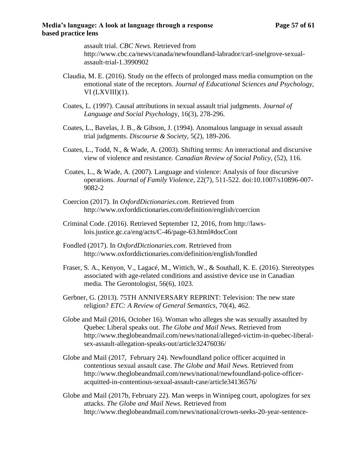assault trial. *CBC News.* Retrieved from http://www.cbc.ca/news/canada/newfoundland-labrador/carl-snelgrove-sexualassault-trial-1.3990902

- Claudia, M. E. (2016). Study on the effects of prolonged mass media consumption on the emotional state of the receptors. *Journal of Educational Sciences and Psychology*,  $VI$  (LXVIII)(1).
- Coates, L. (1997). Causal attributions in sexual assault trial judgments. *Journal of Language and Social Psycholog*y, 16(3), 278-296.
- Coates, L., Bavelas, J. B., & Gibson, J. (1994). Anomalous language in sexual assault trial judgments. *Discourse & Society*, 5(2), 189-206.
- Coates, L., Todd, N., & Wade, A. (2003). Shifting terms: An interactional and discursive view of violence and resistance*. Canadian Review of Social Policy*, (52), 116.
- Coates, L., & Wade, A. (2007). Language and violence: Analysis of four discursive operations. *Journal of Family Violence*, 22(7), 511-522. doi:10.1007/s10896-007- 9082-2
- Coercion (2017). In *OxfordDictionaries.com*. Retrieved from http://www.oxforddictionaries.com/definition/english/coercion
- Criminal Code. (2016). Retrieved September 12, 2016, from http://lawslois.justice.gc.ca/eng/acts/C-46/page-63.html#docCont
- Fondled (2017). In *OxfordDictionaries.com*. Retrieved from http://www.oxforddictionaries.com/definition/english/fondled
- Fraser, S. A., Kenyon, V., Lagacé, M., Wittich, W., & Southall, K. E. (2016). Stereotypes associated with age-related conditions and assistive device use in Canadian media. The Gerontologist, 56(6), 1023.
- Gerbner, G. (2013). 75TH ANNIVERSARY REPRINT: Television: The new state religion? *ETC: A Review of General Semantics*, 70(4), 462.
- Globe and Mail (2016, October 16). Woman who alleges she was sexually assaulted by Quebec Liberal speaks out. *The Globe and Mail News.* Retrieved from http://www.theglobeandmail.com/news/national/alleged-victim-in-quebec-liberalsex-assault-allegation-speaks-out/article32476036/
- Globe and Mail (2017, February 24). Newfoundland police officer acquitted in contentious sexual assault case. *The Globe and Mail News.* Retrieved from [http://www.theglobeandmail.com/news/national/newfoundland-police-officer](http://www.theglobeandmail.com/news/national/newfoundland-police-officer-acquitted-in-contentious-sexual-assault-case/article34136576/)[acquitted-in-contentious-sexual-assault-case/article34136576/](http://www.theglobeandmail.com/news/national/newfoundland-police-officer-acquitted-in-contentious-sexual-assault-case/article34136576/)
- Globe and Mail (2017b, February 22). Man weeps in Winnipeg court, apologizes for sex attacks. *The Globe and Mail News.* Retrieved from [http://www.theglobeandmail.com/news/national/crown-seeks-20-year-sentence-](http://www.theglobeandmail.com/news/national/crown-seeks-20-year-sentence-for-man-in-winnipeg-sex-attacks/article34109922/)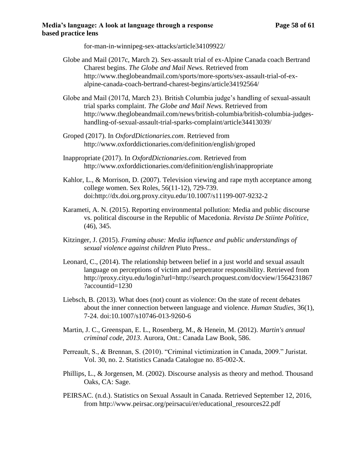# **Media's language: A look at language through a response Page 58 of 61 based practice lens**

[for-man-in-winnipeg-sex-attacks/article34109922/](http://www.theglobeandmail.com/news/national/crown-seeks-20-year-sentence-for-man-in-winnipeg-sex-attacks/article34109922/)

- Globe and Mail (2017c, March 2). Sex-assault trial of ex-Alpine Canada coach Bertrand Charest begins. *The Globe and Mail News.* Retrieved from [http://www.theglobeandmail.com/sports/more-sports/sex-assault-trial-of-ex](http://www.theglobeandmail.com/sports/more-sports/sex-assault-trial-of-ex-alpine-canada-coach-bertrand-charest-begins/article34192564/)[alpine-canada-coach-bertrand-charest-begins/article34192564/](http://www.theglobeandmail.com/sports/more-sports/sex-assault-trial-of-ex-alpine-canada-coach-bertrand-charest-begins/article34192564/)
- Globe and Mail (2017d, March 23). British Columbia judge's handling of sexual-assault trial sparks complaint. *The Globe and Mail News.* Retrieved from [http://www.theglobeandmail.com/news/british-columbia/british-columbia-judges](http://www.theglobeandmail.com/news/british-columbia/british-columbia-judges-handling-of-sexual-assault-trial-sparks-complaint/article34413039/)[handling-of-sexual-assault-trial-sparks-complaint/article34413039/](http://www.theglobeandmail.com/news/british-columbia/british-columbia-judges-handling-of-sexual-assault-trial-sparks-complaint/article34413039/)
- Groped (2017). In *OxfordDictionaries.com*. Retrieved from http://www.oxforddictionaries.com/definition/english/groped
- Inappropriate (2017). In *OxfordDictionaries.com*. Retrieved from http://www.oxforddictionaries.com/definition/english/inappropriate
- Kahlor, L., & Morrison, D. (2007). Television viewing and rape myth acceptance among college women. Sex Roles, 56(11-12), 729-739. doi:http://dx.doi.org.proxy.cityu.edu/10.1007/s11199-007-9232-2
- Karameti, A. N. (2015). Reporting environmental pollution: Media and public discourse vs. political discourse in the Republic of Macedonia. *Revista De Stiinte Politice*, (46), 345.
- Kitzinger, J. (2015). *Framing abuse: Media influence and public understandings of sexual violence against children* Pluto Press..
- Leonard, C., (2014). The relationship between belief in a just world and sexual assault language on perceptions of victim and perpetrator responsibility. Retrieved from http://proxy.cityu.edu/login?url=http://search.proquest.com/docview/1564231867 ?accountid=1230
- Liebsch, B. (2013). What does (not) count as violence: On the state of recent debates about the inner connection between language and violence. *Human Studies*, 36(1), 7-24. doi:10.1007/s10746-013-9260-6
- Martin, J. C., Greenspan, E. L., Rosenberg, M., & Henein, M. (2012). *Martin's annual criminal code, 2013*. Aurora, Ont.: Canada Law Book, 586.
- Perreault, S., & Brennan, S. (2010). "Criminal victimization in Canada, 2009." Juristat. Vol. 30, no. 2. Statistics Canada Catalogue no. 85-002-X.
- Phillips, L., & Jorgensen, M. (2002). Discourse analysis as theory and method. Thousand Oaks, CA: Sage.
- PEIRSAC. (n.d.). Statistics on Sexual Assault in Canada. Retrieved September 12, 2016, from [http://www.peirsac.org/peirsacui/er/educational\\_resources22.pdf](http://www.peirsac.org/peirsacui/er/educational_resources22.pdf)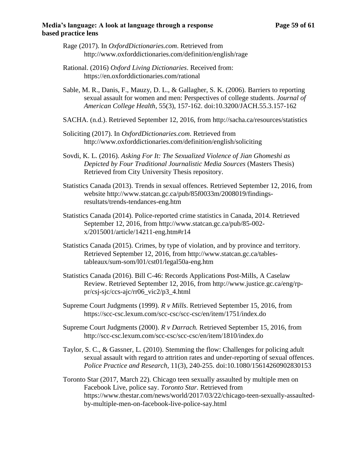# **Media's language: A look at language through a response Page 59 of 61 based practice lens**

- Rage (2017). In *OxfordDictionaries.com*. Retrieved from http://www.oxforddictionaries.com/definition/english/rage
- Rational. (2016) *Oxford Living Dictionaries*. Received from: https://en.oxforddictionaries.com/rational
- Sable, M. R., Danis, F., Mauzy, D. L., & Gallagher, S. K. (2006). Barriers to reporting sexual assault for women and men: Perspectives of college students. *Journal of American College Health*, 55(3), 157-162. doi:10.3200/JACH.55.3.157-162
- SACHA. (n.d.). Retrieved September 12, 2016, from http://sacha.ca/resources/statistics
- Soliciting (2017). In *OxfordDictionaries.com*. Retrieved from http://www.oxforddictionaries.com/definition/english/soliciting
- Sovdi, K. L. (2016). *Asking For It: The Sexualized Violence of Jian Ghomeshi as Depicted by Four Traditional Journalistic Media Sources* (Masters Thesis) Retrieved from City University Thesis repository.
- Statistics Canada (2013). Trends in sexual offences. Retrieved September 12, 2016, from website http://www.statcan.gc.ca/pub/85f0033m/2008019/findingsresultats/trends-tendances-eng.htm
- Statistics Canada (2014). Police-reported crime statistics in Canada, 2014. Retrieved September 12, 2016, from http://www.statcan.gc.ca/pub/85-002 x/2015001/article/14211-eng.htm#r14
- Statistics Canada (2015). Crimes, by type of violation, and by province and territory. Retrieved September 12, 2016, from http://www.statcan.gc.ca/tablestableaux/sum-som/l01/cst01/legal50a-eng.htm
- Statistics Canada (2016). Bill C-46: Records Applications Post-Mills, A Caselaw Review. Retrieved September 12, 2016, from http://www.justice.gc.ca/eng/rppr/csj-sjc/ccs-ajc/rr06\_vic2/p3\_4.html
- Supreme Court Judgments (1999). *R v Mills*. Retrieved September 15, 2016, from https://scc-csc.lexum.com/scc-csc/scc-csc/en/item/1751/index.do
- Supreme Court Judgments (2000). *R v Darrach.* Retrieved September 15, 2016, from http://scc-csc.lexum.com/scc-csc/scc-csc/en/item/1810/index.do
- Taylor, S. C., & Gassner, L. (2010). Stemming the flow: Challenges for policing adult sexual assault with regard to attrition rates and under-reporting of sexual offences. *Police Practice and Research*, 11(3), 240-255. doi:10.1080/15614260902830153
- Toronto Star (2017, March 22). Chicago teen sexually assaulted by multiple men on Facebook Live, police say. *Toronto Star.* Retrieved from https://www.thestar.com/news/world/2017/03/22/chicago-teen-sexually-assaultedby-multiple-men-on-facebook-live-police-say.html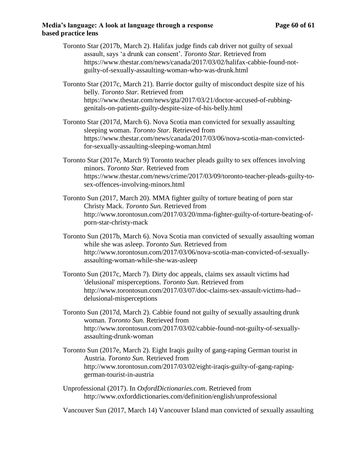# **Media's language: A look at language through a response Page 60 of 61 based practice lens**

- Toronto Star (2017b, March 2). Halifax judge finds cab driver not guilty of sexual assault, says 'a drunk can consent'. *Toronto Star.* Retrieved from https://www.thestar.com/news/canada/2017/03/02/halifax-cabbie-found-notguilty-of-sexually-assaulting-woman-who-was-drunk.html
- Toronto Star (2017c, March 21). Barrie doctor guilty of misconduct despite size of his belly. *Toronto Star.* Retrieved from https://www.thestar.com/news/gta/2017/03/21/doctor-accused-of-rubbinggenitals-on-patients-guilty-despite-size-of-his-belly.html
- Toronto Star (2017d, March 6). Nova Scotia man convicted for sexually assaulting sleeping woman. *Toronto Star.* Retrieved from https://www.thestar.com/news/canada/2017/03/06/nova-scotia-man-convictedfor-sexually-assaulting-sleeping-woman.html
- Toronto Star (2017e, March 9) Toronto teacher pleads guilty to sex offences involving minors. *Toronto Star.* Retrieved from https://www.thestar.com/news/crime/2017/03/09/toronto-teacher-pleads-guilty-tosex-offences-involving-minors.html
- Toronto Sun (2017, March 20). MMA fighter guilty of torture beating of porn star Christy Mack. *Toronto Sun.* Retrieved from http://www.torontosun.com/2017/03/20/mma-fighter-guilty-of-torture-beating-ofporn-star-christy-mack
- Toronto Sun (2017b, March 6). Nova Scotia man convicted of sexually assaulting woman while she was asleep. *Toronto Sun.* Retrieved from [http://www.torontosun.com/2017/03/06/nova-scotia-man-convicted-of-sexually](http://www.torontosun.com/2017/03/06/nova-scotia-man-convicted-of-sexually-assaulting-woman-while-she-was-asleep)[assaulting-woman-while-she-was-asleep](http://www.torontosun.com/2017/03/06/nova-scotia-man-convicted-of-sexually-assaulting-woman-while-she-was-asleep)
- Toronto Sun (2017c, March 7). Dirty doc appeals, claims sex assault victims had 'delusional' misperceptions. *Toronto Sun*. Retrieved from http://www.torontosun.com/2017/03/07/doc-claims-sex-assault-victims-had- delusional-misperceptions
- Toronto Sun (2017d, March 2). Cabbie found not guilty of sexually assaulting drunk woman. *Toronto Sun.* Retrieved from http://www.torontosun.com/2017/03/02/cabbie-found-not-guilty-of-sexuallyassaulting-drunk-woman
- Toronto Sun (2017e, March 2). Eight Iraqis guilty of gang-raping German tourist in Austria. *Toronto Sun.* Retrieved from http://www.torontosun.com/2017/03/02/eight-iraqis-guilty-of-gang-rapinggerman-tourist-in-austria
- Unprofessional (2017). In *OxfordDictionaries.com*. Retrieved from http://www.oxforddictionaries.com/definition/english/unprofessional

Vancouver Sun (2017, March 14) Vancouver Island man convicted of sexually assaulting